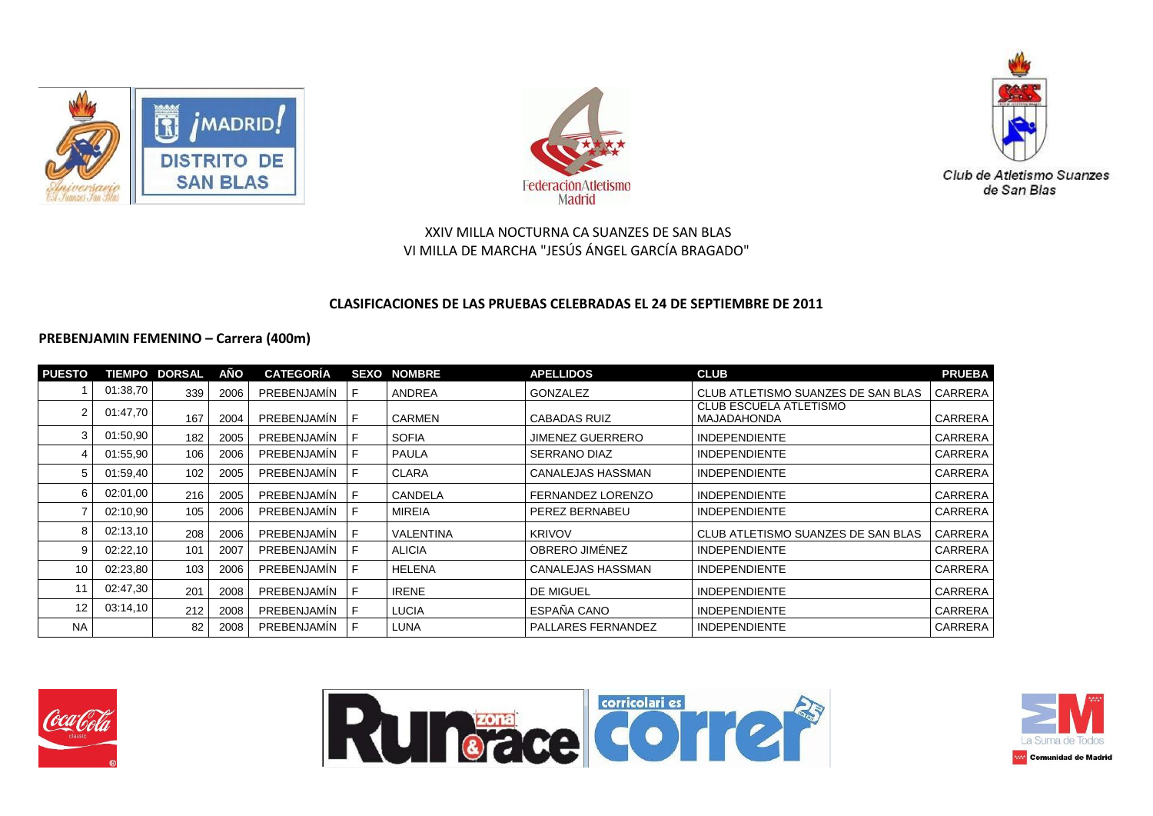





## **CLASIFICACIONES DE LAS PRUEBAS CELEBRADAS EL 24 DE SEPTIEMBRE DE 2011**

#### **PREBENJAMIN FEMENINO – Carrera (400m)**

| <b>PUESTO</b>     |          | <b>TIEMPO DORSAL</b> | AÑO  | <b>CATEGORÍA</b>   |    | <b>SEXO NOMBRE</b> | <b>APELLIDOS</b>          | <b>CLUB</b>                                         | <b>PRUEBA</b>  |
|-------------------|----------|----------------------|------|--------------------|----|--------------------|---------------------------|-----------------------------------------------------|----------------|
|                   | 01:38,70 | 339                  | 2006 | PREBENJAMIN        | F. | <b>ANDREA</b>      | GONZALEZ                  | CLUB ATLETISMO SUANZES DE SAN BLAS                  | CARRERA        |
|                   | 01:47,70 | 167                  | 2004 | PREBENJAMIN        | F  | <b>CARMEN</b>      | <b>CABADAS RUIZ</b>       | <b>CLUB ESCUELA ATLETISMO</b><br><b>MAJADAHONDA</b> | <b>CARRERA</b> |
|                   | 01:50,90 | 182                  | 2005 | PREBENJAMIN        | F. | <b>SOFIA</b>       | <b>JIMENEZ GUERRERO</b>   | <b>INDEPENDIENTE</b>                                | <b>CARRERA</b> |
|                   | 01:55,90 | 106                  | 2006 | PREBENJAMIN        | F  | PAULA              | <b>SERRANO DIAZ</b>       | <b>INDEPENDIENTE</b>                                | <b>CARRERA</b> |
|                   | 01:59,40 | 102                  | 2005 | PREBENJAMIN        | F  | <b>CLARA</b>       | CANALEJAS HASSMAN         | <b>INDEPENDIENTE</b>                                | <b>CARRERA</b> |
| 6                 | 02:01,00 | 216                  | 2005 | <b>PREBENJAMIN</b> | F. | CANDELA            | FERNANDEZ LORENZO         | <b>INDEPENDIENTE</b>                                | <b>CARRERA</b> |
|                   | 02:10,90 | 105                  | 2006 | PREBENJAMIN        | F  | <b>MIREIA</b>      | PEREZ BERNABEU            | <b>INDEPENDIENTE</b>                                | <b>CARRERA</b> |
|                   | 02:13,10 | 208                  | 2006 | <b>PREBENJAMIN</b> | F. | <b>VALENTINA</b>   | <b>KRIVOV</b>             | CLUB ATLETISMO SUANZES DE SAN BLAS                  | CARRERA        |
|                   | 02:22,10 | 101                  | 2007 | PREBENJAMIN        | F  | <b>ALICIA</b>      | OBRERO JIMÉNEZ            | <b>INDEPENDIENTE</b>                                | <b>CARRERA</b> |
| 10                | 02:23,80 | 103                  | 2006 | PREBENJAMIN        | F  | HELENA             | CANALEJAS HASSMAN         | <b>INDEPENDIENTE</b>                                | <b>CARRERA</b> |
| 11                | 02:47,30 | 201                  | 2008 | <b>PREBENJAMIN</b> | F  | <b>IRENE</b>       | DE MIGUEL                 | <b>INDEPENDIENTE</b>                                | <b>CARRERA</b> |
| $12 \overline{ }$ | 03:14,10 | 212                  | 2008 | <b>PREBENJAMIN</b> | E  | <b>LUCIA</b>       | ESPAÑA CANO               | <b>INDEPENDIENTE</b>                                | <b>CARRERA</b> |
| <b>NA</b>         |          | 82                   | 2008 | PREBENJAMIN        | F  | LUNA               | <b>PALLARES FERNANDEZ</b> | <b>INDEPENDIENTE</b>                                | <b>CARRERA</b> |





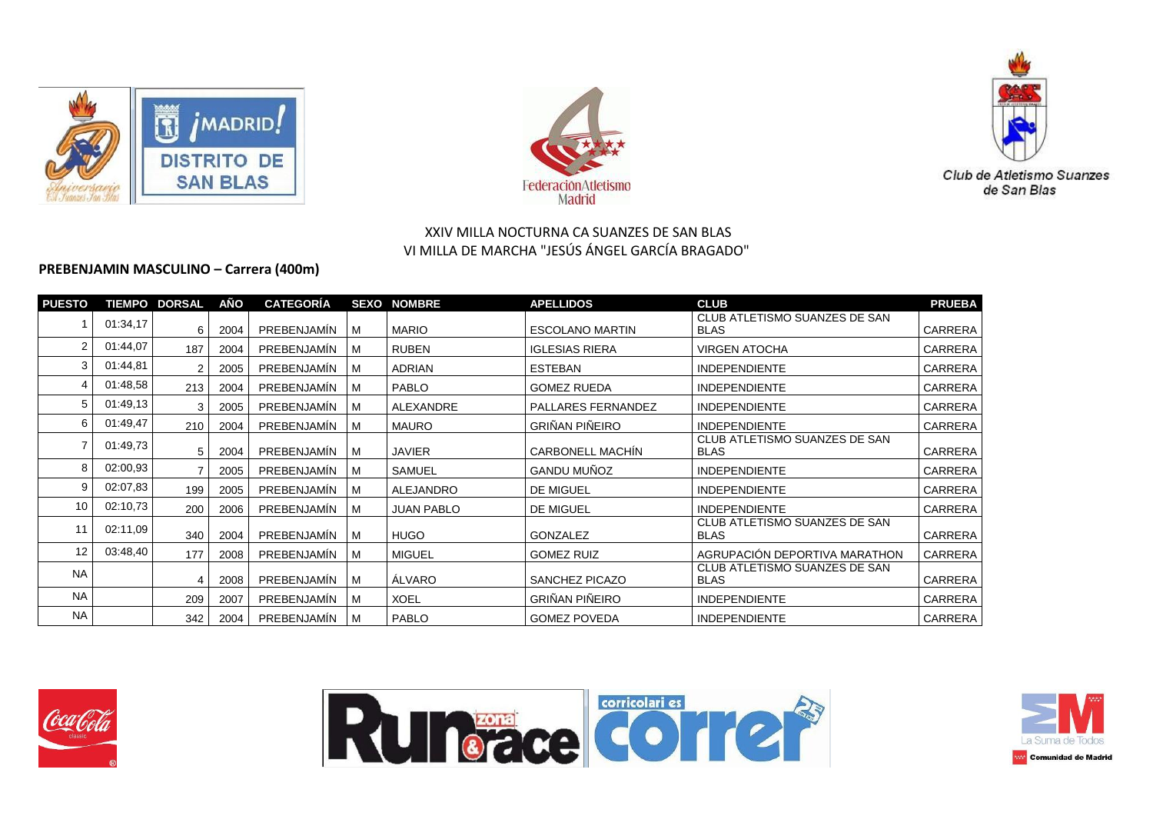





# **PREBENJAMIN MASCULINO – Carrera (400m)**

| <b>PUESTO</b> |          | <b>TIEMPO DORSAL</b> | AÑO  | <b>CATEGORÍA</b> |     | <b>SEXO NOMBRE</b> | <b>APELLIDOS</b>        | <b>CLUB</b>                                  | <b>PRUEBA</b>  |
|---------------|----------|----------------------|------|------------------|-----|--------------------|-------------------------|----------------------------------------------|----------------|
|               | 01:34,17 | 6                    | 2004 | PREBENJAMIN      | l M | <b>MARIO</b>       | <b>ESCOLANO MARTIN</b>  | CLUB ATLETISMO SUANZES DE SAN<br><b>BLAS</b> | <b>CARRERA</b> |
|               | 01:44.07 | 187                  | 2004 | PREBENJAMIN      | M   | <b>RUBEN</b>       | <b>IGLESIAS RIERA</b>   | <b>VIRGEN ATOCHA</b>                         | <b>CARRERA</b> |
|               | 01:44,81 | 2                    | 2005 | PREBENJAMÍN      | M   | <b>ADRIAN</b>      | <b>ESTEBAN</b>          | <b>INDEPENDIENTE</b>                         | <b>CARRERA</b> |
|               | 01:48.58 | 213                  | 2004 | PREBENJAMÍN      | M   | <b>PABLO</b>       | <b>GOMEZ RUEDA</b>      | <b>INDEPENDIENTE</b>                         | <b>CARRERA</b> |
| 5.            | 01:49,13 | 3                    | 2005 | PREBENJAMIN      | M   | ALEXANDRE          | PALLARES FERNANDEZ      | <b>INDEPENDIENTE</b>                         | CARRERA        |
| 6             | 01:49,47 | 210                  | 2004 | PREBENJAMIN      | м   | MAURO              | <b>GRIÑAN PIÑEIRO</b>   | <b>INDEPENDIENTE</b>                         | CARRERA        |
|               | 01:49,73 | 5                    | 2004 | PREBENJAMÍN      | l M | <b>JAVIER</b>      | <b>CARBONELL MACHÍN</b> | CLUB ATLETISMO SUANZES DE SAN<br><b>BLAS</b> | CARRERA        |
| 8             | 02:00.93 |                      | 2005 | PREBENJAMIN      | M   | <b>SAMUEL</b>      | <b>GANDU MUÑOZ</b>      | <b>INDEPENDIENTE</b>                         | CARRERA        |
| 9             | 02:07,83 | 199                  | 2005 | PREBENJAMIN      | M   | <b>ALEJANDRO</b>   | DE MIGUEL               | <b>INDEPENDIENTE</b>                         | <b>CARRERA</b> |
| 10            | 02:10,73 | 200                  | 2006 | PREBENJAMIN      | M   | <b>JUAN PABLO</b>  | DE MIGUEL               | <b>INDEPENDIENTE</b>                         | CARRERA        |
| 11            | 02:11.09 | 340                  | 2004 | PREBENJAMIN      | l M | HUGO               | <b>GONZALEZ</b>         | CLUB ATLETISMO SUANZES DE SAN<br><b>BLAS</b> | CARRERA        |
| 12            | 03:48,40 | 177                  | 2008 | PREBENJAMIN      | M   | <b>MIGUEL</b>      | <b>GOMEZ RUIZ</b>       | AGRUPACIÓN DEPORTIVA MARATHON                | CARRERA        |
| <b>NA</b>     |          | 4                    | 2008 | PREBENJAMIN      | M   | <b>ALVARO</b>      | SANCHEZ PICAZO          | CLUB ATLETISMO SUANZES DE SAN<br><b>BLAS</b> | CARRERA        |
| <b>NA</b>     |          | 209                  | 2007 | PREBENJAMIN      | M   | <b>XOEL</b>        | <b>GRIÑAN PIÑEIRO</b>   | <b>INDEPENDIENTE</b>                         | CARRERA        |
| <b>NA</b>     |          | 342                  | 2004 | PREBENJAMÍN      | l M | <b>PABLO</b>       | <b>GOMEZ POVEDA</b>     | <b>INDEPENDIENTE</b>                         | CARRERA        |





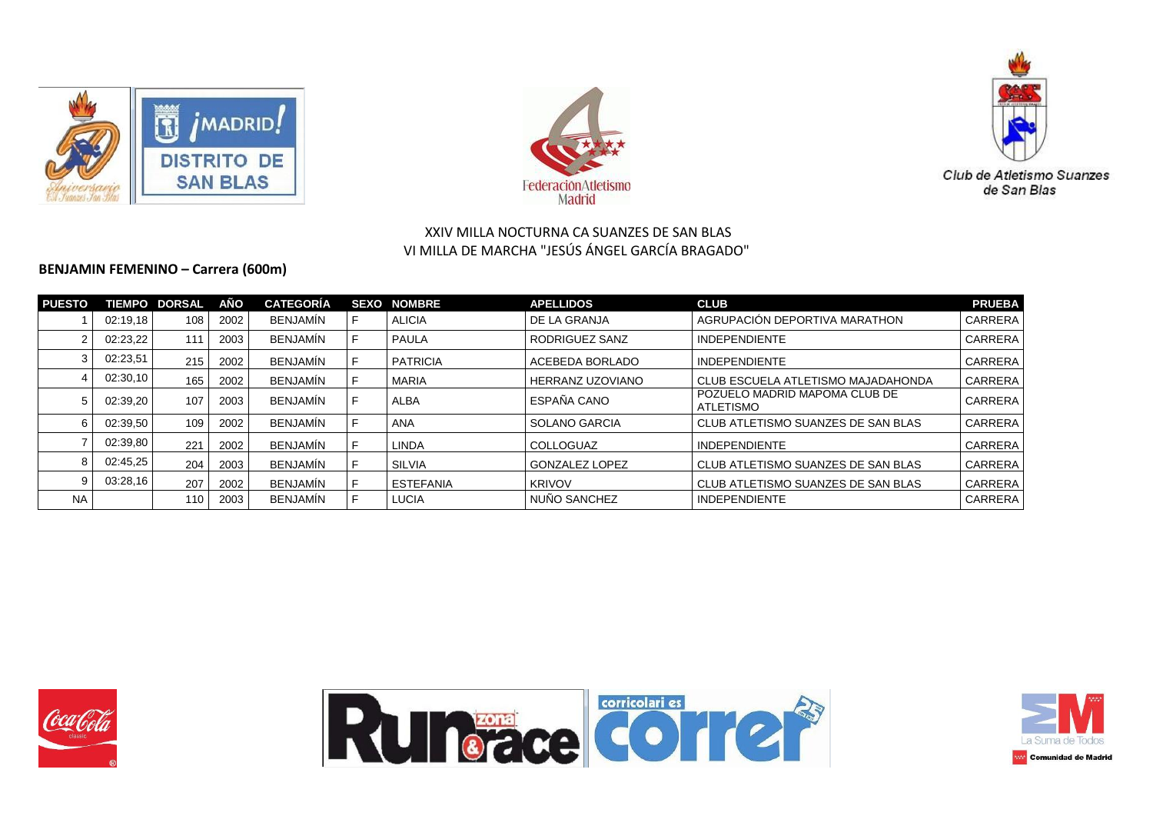





#### **BENJAMIN FEMENINO – Carrera (600m)**

| <b>PUESTO</b> |          | <b>TIEMPO DORSAL</b> | AÑO  | <b>CATEGORÍA</b> | <b>SEXO</b> | <b>NOMBRE</b>    | <b>APELLIDOS</b>        | <b>CLUB</b>                                | <b>PRUEBA</b>  |
|---------------|----------|----------------------|------|------------------|-------------|------------------|-------------------------|--------------------------------------------|----------------|
|               | 02:19.18 | 108                  | 2002 | <b>BENJAMIN</b>  |             | <b>ALICIA</b>    | l DE LA GRANJA          | AGRUPACIÓN DEPORTIVA MARATHON              | <b>CARRERA</b> |
|               | 02:23.22 | 111                  | 2003 | <b>BENJAMIN</b>  | F           | <b>PAULA</b>     | RODRIGUEZ SANZ          | <b>INDEPENDIENTE</b>                       | <b>CARRERA</b> |
|               | 02:23,51 | 215                  | 2002 | <b>BENJAMIN</b>  |             | <b>PATRICIA</b>  | l ACEBEDA BORLADO       | <b>INDEPENDIENTE</b>                       | <b>CARRERA</b> |
|               | 02:30,10 | 165                  | 2002 | <b>BENJAMIN</b>  |             | <b>MARIA</b>     | <b>HERRANZ UZOVIANO</b> | CLUB ESCUELA ATLETISMO MAJADAHONDA         | <b>CARRERA</b> |
| 5             | 02:39,20 | 107                  | 2003 | <b>BENJAMIN</b>  | F           | ALBA             | I ESPAÑA CANO           | POZUELO MADRID MAPOMA CLUB DE<br>ATLETISMO | <b>CARRERA</b> |
| 6             | 02:39.50 | 109                  | 2002 | <b>BENJAMIN</b>  |             | ANA              | SOLANO GARCIA           | CLUB ATLETISMO SUANZES DE SAN BLAS         | <b>CARRERA</b> |
|               | 02:39,80 | 221                  | 2002 | <b>BENJAMIN</b>  |             | <b>LINDA</b>     | <b>COLLOGUAZ</b>        | <b>INDEPENDIENTE</b>                       | <b>CARRERA</b> |
| 8             | 02:45,25 | 204                  | 2003 | <b>BENJAMIN</b>  |             | SILVIA           | l GONZALEZ LOPEZ        | CLUB ATLETISMO SUANZES DE SAN BLAS         | <b>CARRERA</b> |
| 9             | 03:28,16 | 207                  | 2002 | <b>BENJAMIN</b>  |             | <b>ESTEFANIA</b> | <b>KRIVOV</b>           | CLUB ATLETISMO SUANZES DE SAN BLAS         | <b>CARRERA</b> |
| <b>NA</b>     |          | 110                  | 2003 | <b>BENJAMIN</b>  |             | <b>LUCIA</b>     | NUÑO SANCHEZ            | <b>INDEPENDIENTE</b>                       | <b>CARRERA</b> |





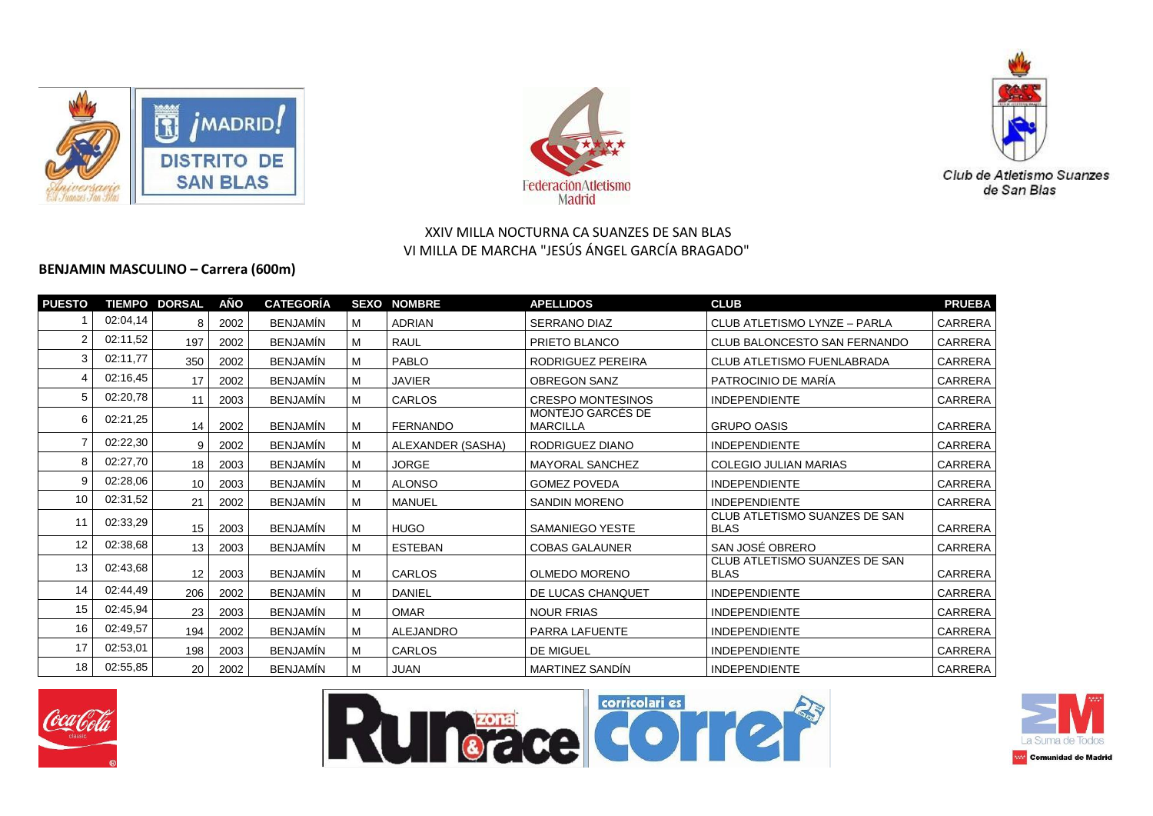





## **BENJAMIN MASCULINO – Carrera (600m)**

| <b>PUESTO</b> |          | <b>TIEMPO DORSAL</b> | AÑO  | <b>CATEGORÍA</b> |   | <b>SEXO NOMBRE</b> | <b>APELLIDOS</b>                     | <b>CLUB</b>                                  | <b>PRUEBA</b>  |
|---------------|----------|----------------------|------|------------------|---|--------------------|--------------------------------------|----------------------------------------------|----------------|
|               | 02:04,14 | 8                    | 2002 | <b>BENJAMÍN</b>  | м | <b>ADRIAN</b>      | <b>SERRANO DIAZ</b>                  | CLUB ATLETISMO LYNZE - PARLA                 | <b>CARRERA</b> |
|               | 02:11,52 | 197                  | 2002 | <b>BENJAMÍN</b>  | м | <b>RAUL</b>        | PRIETO BLANCO                        | CLUB BALONCESTO SAN FERNANDO                 | CARRERA        |
|               | 02:11,77 | 350                  | 2002 | <b>BENJAMÍN</b>  | M | PABLO              | RODRIGUEZ PEREIRA                    | CLUB ATLETISMO FUENLABRADA                   | CARRERA        |
|               | 02:16,45 | 17                   | 2002 | <b>BENJAMÍN</b>  | M | <b>JAVIER</b>      | <b>OBREGON SANZ</b>                  | PATROCINIO DE MARÍA                          | CARRERA        |
|               | 02:20,78 | 11                   | 2003 | <b>BENJAMÍN</b>  | M | <b>CARLOS</b>      | <b>CRESPO MONTESINOS</b>             | <b>INDEPENDIENTE</b>                         | CARRERA        |
| 6             | 02:21,25 | 14                   | 2002 | <b>BENJAMÍN</b>  | M | <b>FERNANDO</b>    | MONTEJO GARCES DE<br><b>MARCILLA</b> | <b>GRUPO OASIS</b>                           | CARRERA        |
|               | 02:22,30 | 9                    | 2002 | <b>BENJAMÍN</b>  | м | ALEXANDER (SASHA)  | RODRIGUEZ DIANO                      | <b>INDEPENDIENTE</b>                         | CARRERA        |
| 8             | 02:27,70 | 18                   | 2003 | <b>BENJAMÍN</b>  | м | <b>JORGE</b>       | <b>MAYORAL SANCHEZ</b>               | COLEGIO JULIAN MARIAS                        | <b>CARRERA</b> |
| 9             | 02:28,06 | 10                   | 2003 | <b>BENJAMÍN</b>  | M | <b>ALONSO</b>      | <b>GOMEZ POVEDA</b>                  | <b>INDEPENDIENTE</b>                         | CARRERA        |
| 10            | 02:31,52 | 21                   | 2002 | <b>BENJAMÍN</b>  | M | MANUEL             | <b>SANDIN MORENO</b>                 | <b>INDEPENDIENTE</b>                         | CARRERA        |
| 11            | 02:33,29 | 15                   | 2003 | <b>BENJAMÍN</b>  | M | <b>HUGO</b>        | SAMANIEGO YESTE                      | CLUB ATLETISMO SUANZES DE SAN<br><b>BLAS</b> | CARRERA        |
| 12            | 02:38,68 | 13                   | 2003 | <b>BENJAMÍN</b>  | м | <b>ESTEBAN</b>     | <b>COBAS GALAUNER</b>                | SAN JOSÉ OBRERO                              | CARRERA        |
| 13            | 02:43,68 | 12                   | 2003 | <b>BENJAMÍN</b>  | M | <b>CARLOS</b>      | <b>OLMEDO MORENO</b>                 | CLUB ATLETISMO SUANZES DE SAN<br><b>BLAS</b> | CARRERA        |
| 14            | 02:44,49 | 206                  | 2002 | <b>BENJAMÍN</b>  | м | <b>DANIEL</b>      | DE LUCAS CHANQUET                    | <b>INDEPENDIENTE</b>                         | CARRERA        |
| 15            | 02:45,94 | 23                   | 2003 | <b>BENJAMÍN</b>  | M | <b>OMAR</b>        | <b>NOUR FRIAS</b>                    | <b>INDEPENDIENTE</b>                         | CARRERA        |
| 16            | 02:49,57 | 194                  | 2002 | <b>BENJAMÍN</b>  | M | <b>ALEJANDRO</b>   | PARRA LAFUENTE                       | <b>INDEPENDIENTE</b>                         | CARRERA        |
| 17            | 02:53,01 | 198                  | 2003 | <b>BENJAMÍN</b>  | M | CARLOS             | DE MIGUEL                            | <b>INDEPENDIENTE</b>                         | CARRERA        |
| 18            | 02:55,85 | 20                   | 2002 | <b>BENJAMÍN</b>  | м | <b>JUAN</b>        | <b>MARTINEZ SANDÍN</b>               | <b>INDEPENDIENTE</b>                         | CARRERA        |







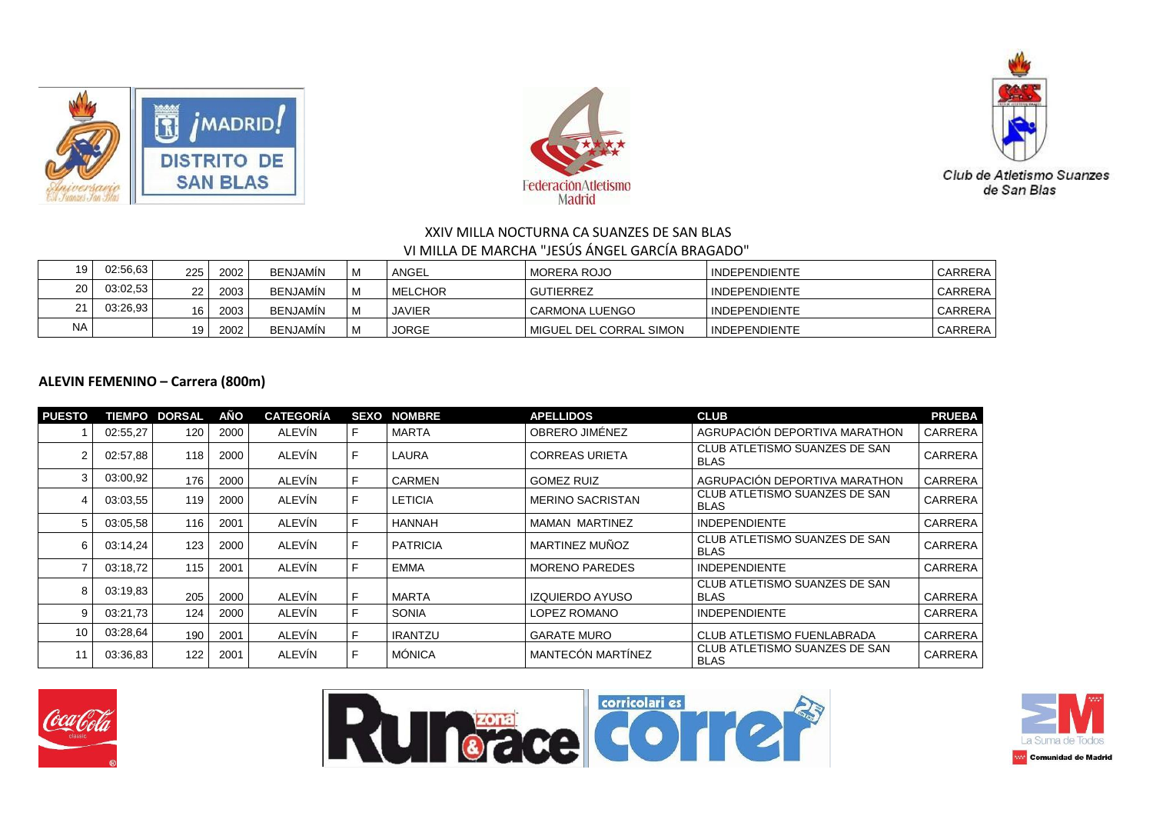





| 19        | 02:56,63 | 225 | 2002 | <b>BENJAMIN</b> | ANGEL          | MORERA ROJO             | <b>INDEPENDIENTE</b> | CARRERA        |
|-----------|----------|-----|------|-----------------|----------------|-------------------------|----------------------|----------------|
| 20        | 03:02.53 | 22  | 2003 | <b>BENJAMIN</b> | <b>MELCHOR</b> | GUTIERREZ               | <b>INDEPENDIENTE</b> | CARRERA        |
| 21        | 03:26.93 | 16  | 2003 | <b>BENJAMIN</b> | JAVIER         | <b>CARMONA LUENGO</b>   | <b>INDEPENDIENTE</b> | <b>CARRERA</b> |
| <b>NA</b> |          | 19  | 2002 | <b>BENJAMIN</b> | <b>JORGE</b>   | MIGUEL DEL CORRAL SIMON | <b>INDEPENDIENTE</b> | <b>CARRERA</b> |

## **ALEVIN FEMENINO – Carrera (800m)**

| <b>PUESTO</b> |          | <b>TIEMPO DORSAL</b> | AÑO  | <b>CATEGORÍA</b> | <b>SEXO</b> | <b>NOMBRE</b>   | <b>APELLIDOS</b>         | <b>CLUB</b>                                  | <b>PRUEBA</b>  |
|---------------|----------|----------------------|------|------------------|-------------|-----------------|--------------------------|----------------------------------------------|----------------|
|               | 02:55,27 | 120                  | 2000 | <b>ALEVIN</b>    |             | <b>MARTA</b>    | OBRERO JIMÉNEZ           | AGRUPACIÓN DEPORTIVA MARATHON                | <b>CARRERA</b> |
| 2             | 02:57,88 | 118                  | 2000 | ALEVÍN           | F           | <b>LAURA</b>    | <b>CORREAS URIETA</b>    | CLUB ATLETISMO SUANZES DE SAN<br><b>BLAS</b> | <b>CARRERA</b> |
| 3             | 03:00,92 | 176                  | 2000 | ALEVÍN           | F           | <b>CARMEN</b>   | <b>GOMEZ RUIZ</b>        | AGRUPACIÓN DEPORTIVA MARATHON                | CARRERA        |
| 4             | 03:03.55 | 119                  | 2000 | ALEVÍN           | F           | <b>LETICIA</b>  | <b>MERINO SACRISTAN</b>  | CLUB ATLETISMO SUANZES DE SAN<br><b>BLAS</b> | <b>CARRERA</b> |
| 5             | 03:05.58 | 116                  | 2001 | <b>ALEVIN</b>    | F           | HANNAH          | MAMAN MARTINEZ           | <b>INDEPENDIENTE</b>                         | <b>CARRERA</b> |
| 6             | 03:14,24 | 123                  | 2000 | <b>ALEVIN</b>    |             | <b>PATRICIA</b> | MARTINEZ MUÑOZ           | CLUB ATLETISMO SUANZES DE SAN<br><b>BLAS</b> | <b>CARRERA</b> |
|               | 03:18.72 | 115                  | 2001 | ALEVÍN           | F           | <b>EMMA</b>     | <b>MORENO PAREDES</b>    | <b>INDEPENDIENTE</b>                         | <b>CARRERA</b> |
| 8             | 03:19.83 | 205                  | 2000 | ALEVÍN           |             | MARTA           | <b>IZQUIERDO AYUSO</b>   | CLUB ATLETISMO SUANZES DE SAN<br><b>BLAS</b> | <b>CARRERA</b> |
| 9             | 03:21.73 | 124                  | 2000 | <b>ALEVIN</b>    | F           | <b>SONIA</b>    | LOPEZ ROMANO             | <b>INDEPENDIENTE</b>                         | <b>CARRERA</b> |
| 10            | 03:28,64 | 190                  | 2001 | ALEVÍN           | F           | <b>IRANTZU</b>  | <b>GARATE MURO</b>       | CLUB ATLETISMO FUENLABRADA                   | <b>CARRERA</b> |
| 11            | 03:36.83 | 122                  | 2001 | ALEVÍN           |             | MÓNICA          | <b>MANTECÓN MARTÍNEZ</b> | CLUB ATLETISMO SUANZES DE SAN<br><b>BLAS</b> | <b>CARRERA</b> |





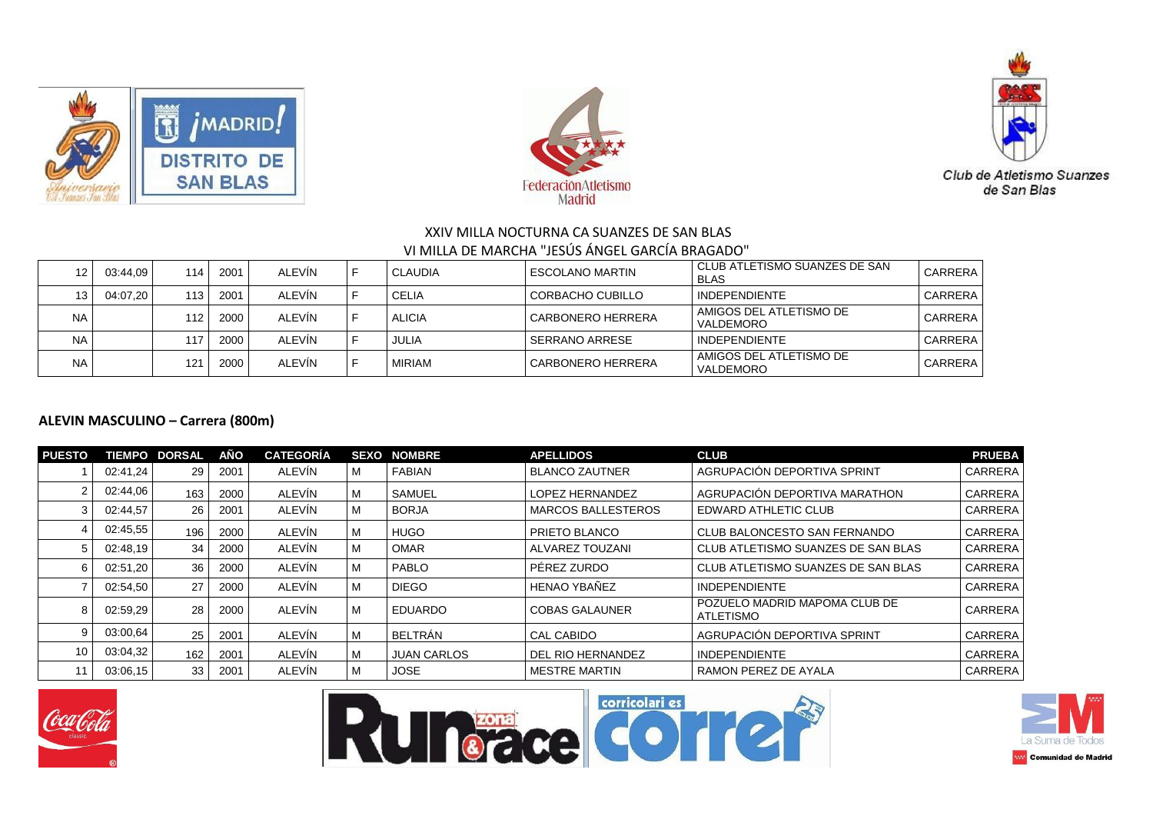





|           | 03:44.09 | 114  | 2001 | ALEVIN        | <b>CLAUDIA</b> | ESCOLANO MARTIN          | I CLUB ATLETISMO SUANZES DE SAN<br><b>BLAS</b> | CARRERA |
|-----------|----------|------|------|---------------|----------------|--------------------------|------------------------------------------------|---------|
| 13        | 04:07.20 | 113. | 2001 | ALEVIN        | <b>CELIA</b>   | CORBACHO CUBILLO         | <b>INDEPENDIENTE</b>                           | CARRERA |
| <b>NA</b> |          | 112  | 2000 | <b>ALEVIN</b> | <b>ALICIA</b>  | <b>CARBONERO HERRERA</b> | I AMIGOS DEL ATLETISMO DE<br><b>VALDEMORO</b>  | CARRERA |
| <b>NA</b> |          | 117  | 2000 | ALEVIN        | JULIA          | SERRANO ARRESE           | <b>INDEPENDIENTE</b>                           | CARRERA |
| <b>NA</b> |          | 121  | 2000 | ALEVIN        | MIRIAM         | <b>CARBONERO HERRERA</b> | I AMIGOS DEL ATLETISMO DE<br><b>VALDEMORO</b>  | CARRERA |

#### **ALEVIN MASCULINO – Carrera (800m)**

| <b>PUESTO</b> |          | <b>TIEMPO DORSAL</b> | AÑO  | <b>CATEGORÍA</b> | <b>SEXO</b> | <b>NOMBRE</b>      | <b>APELLIDOS</b>      | <b>CLUB</b>                                | <b>PRUEBA</b>  |
|---------------|----------|----------------------|------|------------------|-------------|--------------------|-----------------------|--------------------------------------------|----------------|
|               | 02:41,24 | 29                   | 2001 | ALEVIN           | M           | <b>FABIAN</b>      | <b>BLANCO ZAUTNER</b> | AGRUPACIÓN DEPORTIVA SPRINT                | <b>CARRERA</b> |
|               | 02:44.06 | 163                  | 2000 | ALEVIN           | M           | SAMUEL             | LOPEZ HERNANDEZ       | AGRUPACIÓN DEPORTIVA MARATHON              | CARRERA        |
|               | 02:44,57 | 26                   | 2001 | ALEVIN           | M           | <b>BORJA</b>       | I MARCOS BALLESTEROS  | EDWARD ATHLETIC CLUB                       | <b>CARRERA</b> |
|               | 02:45.55 | 196                  | 2000 | ALEVÍN           | M           | <b>HUGO</b>        | <b>PRIETO BLANCO</b>  | CLUB BALONCESTO SAN FERNANDO               | <b>CARRERA</b> |
| 5             | 02:48,19 | 34                   | 2000 | ALEVIN           | M           | <b>OMAR</b>        | l ALVAREZ TOUZANI     | CLUB ATLETISMO SUANZES DE SAN BLAS         | <b>CARRERA</b> |
| 6             | 02:51,20 | 36                   | 2000 | ALEVIN           | M           | PABLO              | l PÉREZ ZURDO         | CLUB ATLETISMO SUANZES DE SAN BLAS         | <b>CARRERA</b> |
|               | 02:54,50 | 27                   | 2000 | ALEVÍN           | M           | <b>DIEGO</b>       | HENAO YBAÑEZ          | <b>INDEPENDIENTE</b>                       | <b>CARRERA</b> |
| 8             | 02:59,29 | 28                   | 2000 | ALEVÍN           | M           | EDUARDO            | l COBAS GALAUNER      | POZUELO MADRID MAPOMA CLUB DE<br>ATLETISMO | <b>CARRERA</b> |
| 9             | 03:00.64 | 25                   | 2001 | ALEVIN           | M           | BELTRÁN            | <b>CAL CABIDO</b>     | AGRUPACIÓN DEPORTIVA SPRINT                | <b>CARRERA</b> |
| 10            | 03:04,32 | 162                  | 2001 | ALEVÍN           | M           | <b>JUAN CARLOS</b> | DEL RIO HERNANDEZ     | <b>INDEPENDIENTE</b>                       | CARRERA        |
|               | 03:06.15 | 33                   | 2001 | ALEVIN           | M           | <b>JOSE</b>        | I MESTRE MARTIN       | RAMON PEREZ DE AYALA                       | <b>CARRERA</b> |







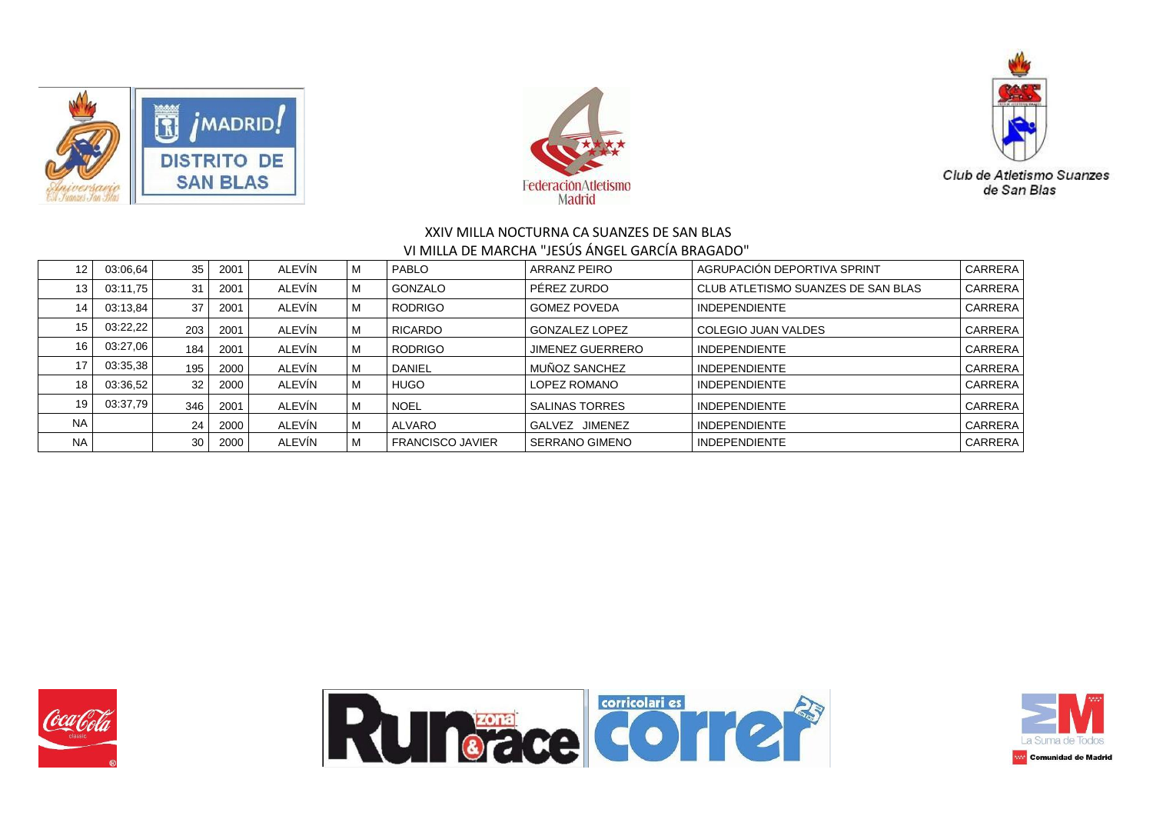





| $12 \overline{ }$ | 03:06.64 | 35  | 2001 | ALEVÍN | M | <b>PABLO</b>            | ARRANZ PEIRO             | AGRUPACIÓN DEPORTIVA SPRINT        | CARRERA |
|-------------------|----------|-----|------|--------|---|-------------------------|--------------------------|------------------------------------|---------|
| 13                | 03:11.75 | 31  | 2001 | ALEVIN | M | <b>GONZALO</b>          | PÉREZ ZURDO              | CLUB ATLETISMO SUANZES DE SAN BLAS | CARRERA |
| 14                | 03:13,84 | 37  | 2001 | ALEVIN | M | <b>RODRIGO</b>          | <b>GOMEZ POVEDA</b>      | <b>INDEPENDIENTE</b>               | CARRERA |
| 15                | 03:22.22 | 203 | 2001 | ALEVÍN | M | RICARDO                 | <b>GONZALEZ LOPEZ</b>    | COLEGIO JUAN VALDES                | CARRERA |
| 16                | 03:27,06 | 184 | 2001 | ALEVÍN | M | <b>RODRIGO</b>          | <b>JIMENEZ GUERRERO</b>  | <b>INDEPENDIENTE</b>               | CARRERA |
| 17                | 03:35,38 | 195 | 2000 | ALEVIN | M | DANIEL                  | MUÑOZ SANCHEZ            | <b>INDEPENDIENTE</b>               | CARRERA |
| 18                | 03:36,52 | 32  | 2000 | ALEVÍN | M | <b>HUGO</b>             | LOPEZ ROMANO             | <b>INDEPENDIENTE</b>               | CARRERA |
| 19                | 03:37,79 | 346 | 2001 | ALEVÍN | м | <b>NOEL</b>             | <b>SALINAS TORRES</b>    | <b>INDEPENDIENTE</b>               | CARRERA |
| <b>NA</b>         |          | 24  | 2000 | ALEVIN | M | <b>ALVARO</b>           | <b>JIMENEZ</b><br>GALVEZ | <b>INDEPENDIENTE</b>               | CARRERA |
| <b>NA</b>         |          | 30  | 2000 | ALEVIN | M | <b>FRANCISCO JAVIER</b> | <b>SERRANO GIMENO</b>    | <b>INDEPENDIENTE</b>               | CARRERA |





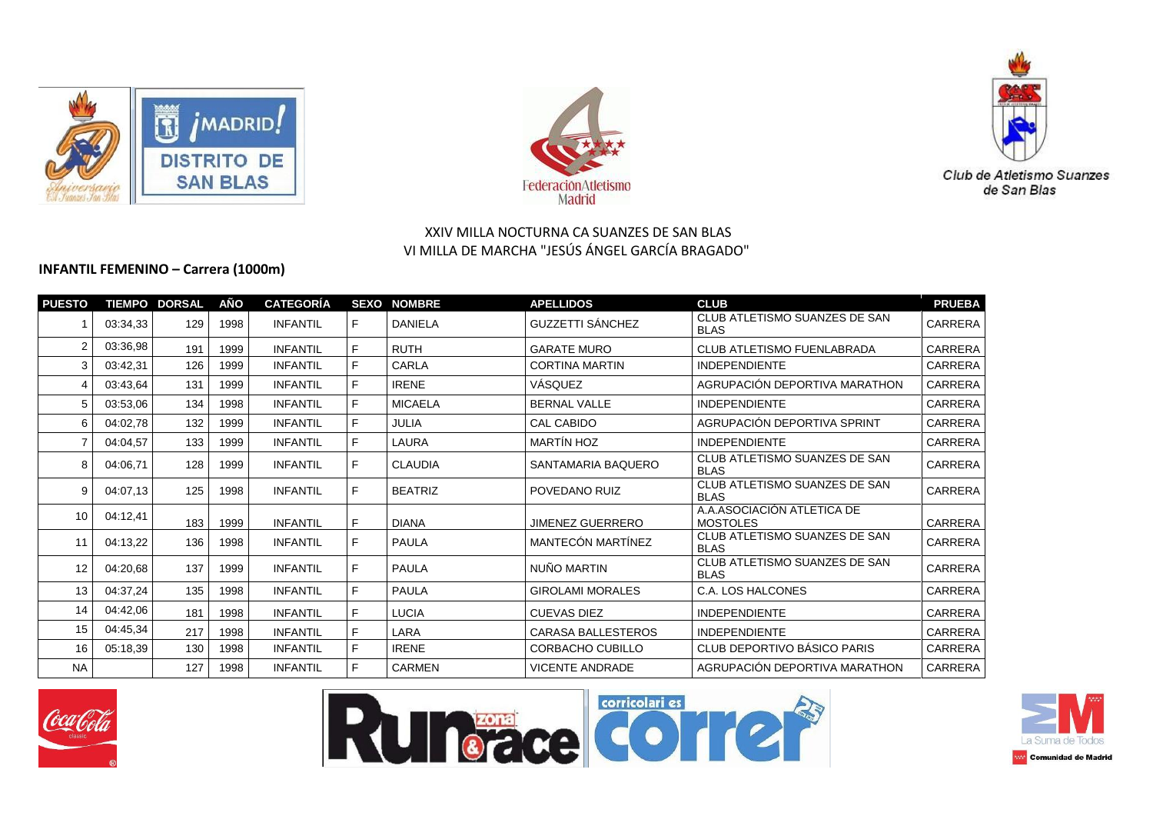





### **INFANTIL FEMENINO – Carrera (1000m)**

| <b>PUESTO</b>     |          | <b>TIEMPO DORSAL</b> | AÑO  | <b>CATEGORÍA</b> |   | <b>SEXO NOMBRE</b> | <b>APELLIDOS</b>        | <b>CLUB</b>                                   | <b>PRUEBA</b>  |
|-------------------|----------|----------------------|------|------------------|---|--------------------|-------------------------|-----------------------------------------------|----------------|
|                   | 03:34,33 | 129                  | 1998 | <b>INFANTIL</b>  | F | <b>DANIELA</b>     | <b>GUZZETTI SÁNCHEZ</b> | CLUB ATLETISMO SUANZES DE SAN<br><b>BLAS</b>  | CARRERA        |
| $\overline{2}$    | 03:36,98 | 191                  | 1999 | <b>INFANTIL</b>  | F | <b>RUTH</b>        | <b>GARATE MURO</b>      | <b>CLUB ATLETISMO FUENLABRADA</b>             | CARRERA        |
| 3                 | 03:42,31 | 126                  | 1999 | <b>INFANTIL</b>  | F | <b>CARLA</b>       | <b>CORTINA MARTIN</b>   | <b>INDEPENDIENTE</b>                          | CARRERA        |
| 4                 | 03:43.64 | 131                  | 1999 | <b>INFANTIL</b>  | F | <b>IRENE</b>       | VÁSQUEZ                 | AGRUPACIÓN DEPORTIVA MARATHON                 | CARRERA        |
| 5.                | 03:53,06 | 134                  | 1998 | <b>INFANTIL</b>  | F | <b>MICAELA</b>     | <b>BERNAL VALLE</b>     | <b>INDEPENDIENTE</b>                          | CARRERA        |
| 6                 | 04:02,78 | 132                  | 1999 | <b>INFANTIL</b>  | F | <b>JULIA</b>       | <b>CAL CABIDO</b>       | AGRUPACIÓN DEPORTIVA SPRINT                   | CARRERA        |
|                   | 04:04.57 | 133                  | 1999 | <b>INFANTIL</b>  | F | <b>LAURA</b>       | <b>MARTÍN HOZ</b>       | <b>INDEPENDIENTE</b>                          | CARRERA        |
| 8                 | 04:06.71 | 128                  | 1999 | <b>INFANTIL</b>  | F | <b>CLAUDIA</b>     | SANTAMARIA BAQUERO      | CLUB ATLETISMO SUANZES DE SAN<br><b>BLAS</b>  | CARRERA        |
| 9                 | 04:07.13 | 125                  | 1998 | <b>INFANTIL</b>  | F | <b>BEATRIZ</b>     | POVEDANO RUIZ           | CLUB ATLETISMO SUANZES DE SAN<br><b>BLAS</b>  | CARRERA        |
| 10                | 04:12,41 | 183                  | 1999 | <b>INFANTIL</b>  | F | <b>DIANA</b>       | <b>JIMENEZ GUERRERO</b> | A.A.ASOCIACIÓN ATLETICA DE<br><b>MOSTOLES</b> | CARRERA        |
| 11                | 04:13,22 | 136                  | 1998 | <b>INFANTIL</b>  | F | <b>PAULA</b>       | MANTECÓN MARTÍNEZ       | CLUB ATLETISMO SUANZES DE SAN<br><b>BLAS</b>  | CARRERA        |
| $12 \overline{ }$ | 04:20,68 | 137                  | 1999 | <b>INFANTIL</b>  | F | <b>PAULA</b>       | NUÑO MARTIN             | CLUB ATLETISMO SUANZES DE SAN<br><b>BLAS</b>  | CARRERA        |
| 13                | 04:37,24 | 135                  | 1998 | <b>INFANTIL</b>  | F | <b>PAULA</b>       | <b>GIROLAMI MORALES</b> | C.A. LOS HALCONES                             | <b>CARRERA</b> |
| 14                | 04:42,06 | 181                  | 1998 | <b>INFANTIL</b>  | F | <b>LUCIA</b>       | <b>CUEVAS DIEZ</b>      | <b>INDEPENDIENTE</b>                          | CARRERA        |
| 15                | 04:45,34 | 217                  | 1998 | <b>INFANTIL</b>  | F | LARA               | CARASA BALLESTEROS      | <b>INDEPENDIENTE</b>                          | CARRERA        |
| 16                | 05:18,39 | 130                  | 1998 | <b>INFANTIL</b>  | F | <b>IRENE</b>       | CORBACHO CUBILLO        | CLUB DEPORTIVO BÁSICO PARIS                   | CARRERA        |
| <b>NA</b>         |          | 127                  | 1998 | <b>INFANTIL</b>  | F | <b>CARMEN</b>      | <b>VICENTE ANDRADE</b>  | AGRUPACIÓN DEPORTIVA MARATHON                 | CARRERA        |







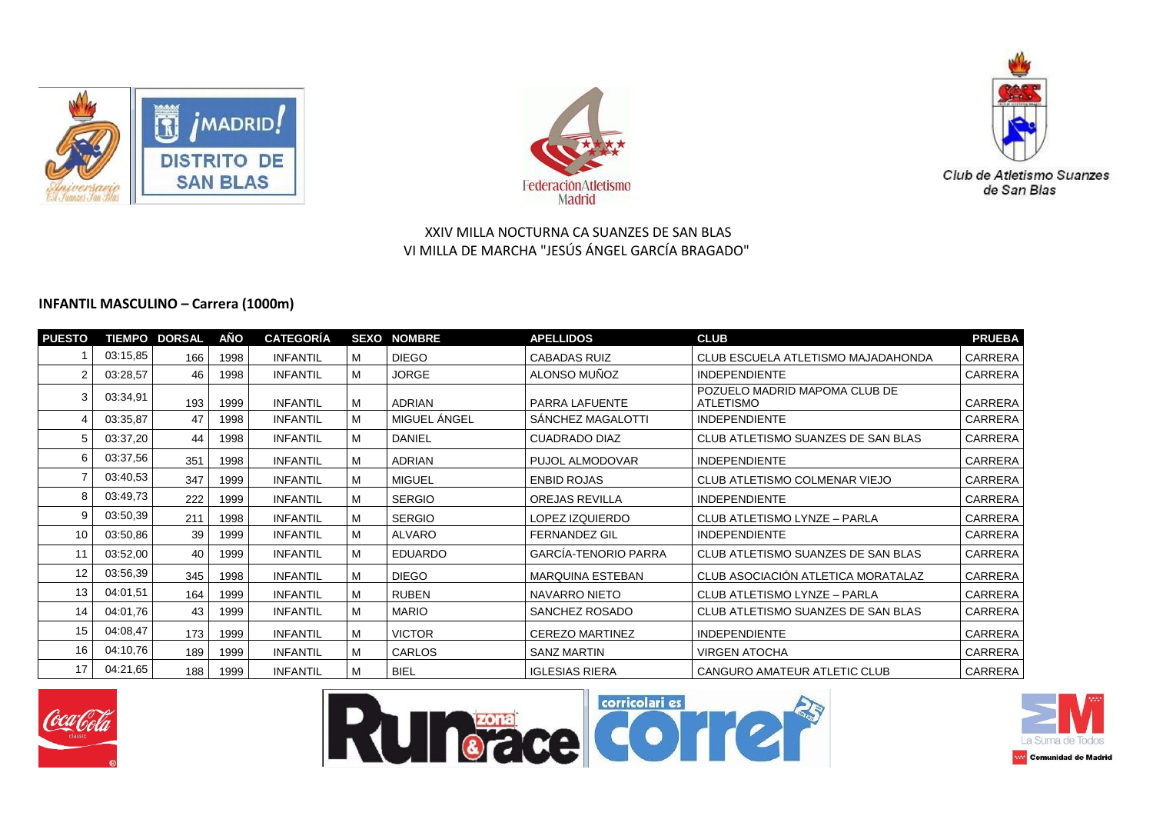





#### **INFANTIL MASCULINO – Carrera (1000m)**

| <b>PUESTO</b> |          | <b>TIEMPO DORSAL</b> | AÑO  | <b>CATEGORÍA</b> |   | <b>SEXO NOMBRE</b> | <b>APELLIDOS</b>            | <b>CLUB</b>                                       | <b>PRUEBA</b>  |
|---------------|----------|----------------------|------|------------------|---|--------------------|-----------------------------|---------------------------------------------------|----------------|
|               | 03:15,85 | 166                  | 1998 | <b>INFANTIL</b>  | M | <b>DIEGO</b>       | <b>CABADAS RUIZ</b>         | CLUB ESCUELA ATLETISMO MAJADAHONDA                | <b>CARRERA</b> |
| 2             | 03:28,57 | 46                   | 1998 | <b>INFANTIL</b>  | M | <b>JORGE</b>       | ALONSO MUÑOZ                | <b>INDEPENDIENTE</b>                              | CARRERA        |
| 3             | 03:34,91 | 193                  | 1999 | <b>INFANTIL</b>  | M | <b>ADRIAN</b>      | PARRA LAFUENTE              | POZUELO MADRID MAPOMA CLUB DE<br><b>ATLETISMO</b> | CARRERA        |
| Δ             | 03:35,87 | 47                   | 1998 | <b>INFANTIL</b>  | M | MIGUEL ÁNGEL       | SANCHEZ MAGALOTTI           | <b>INDEPENDIENTE</b>                              | <b>CARRERA</b> |
| 5             | 03:37,20 | 44                   | 1998 | <b>INFANTIL</b>  | M | <b>DANIEL</b>      | CUADRADO DIAZ               | CLUB ATLETISMO SUANZES DE SAN BLAS                | CARRERA        |
| 6             | 03:37,56 | 351                  | 1998 | <b>INFANTIL</b>  | M | <b>ADRIAN</b>      | PUJOL ALMODOVAR             | <b>INDEPENDIENTE</b>                              | <b>CARRERA</b> |
|               | 03:40,53 | 347                  | 1999 | <b>INFANTIL</b>  | M | <b>MIGUEL</b>      | <b>ENBID ROJAS</b>          | CLUB ATLETISMO COLMENAR VIEJO                     | <b>CARRERA</b> |
| 8             | 03:49,73 | 222                  | 1999 | <b>INFANTIL</b>  | M | <b>SERGIO</b>      | <b>OREJAS REVILLA</b>       | <b>INDEPENDIENTE</b>                              | <b>CARRERA</b> |
| 9             | 03:50,39 | 211                  | 1998 | <b>INFANTIL</b>  | M | <b>SERGIO</b>      | LOPEZ IZQUIERDO             | CLUB ATLETISMO LYNZE - PARLA                      | CARRERA        |
| 10            | 03:50,86 | 39                   | 1999 | <b>INFANTIL</b>  | M | <b>ALVARO</b>      | <b>FERNANDEZ GIL</b>        | <b>INDEPENDIENTE</b>                              | CARRERA        |
| 11            | 03:52,00 | 40                   | 1999 | <b>INFANTIL</b>  | M | <b>EDUARDO</b>     | <b>GARCÍA-TENORIO PARRA</b> | CLUB ATLETISMO SUANZES DE SAN BLAS                | CARRERA        |
| 12            | 03:56,39 | 345                  | 1998 | <b>INFANTIL</b>  | M | <b>DIEGO</b>       | MARQUINA ESTEBAN            | CLUB ASOCIACIÓN ATLETICA MORATALAZ                | <b>CARRERA</b> |
| 13            | 04:01,51 | 164                  | 1999 | <b>INFANTIL</b>  | M | <b>RUBEN</b>       | NAVARRO NIETO               | CLUB ATLETISMO LYNZE - PARLA                      | <b>CARRERA</b> |
| 14            | 04:01.76 | 43                   | 1999 | <b>INFANTIL</b>  | M | <b>MARIO</b>       | SANCHEZ ROSADO              | CLUB ATLETISMO SUANZES DE SAN BLAS                | CARRERA        |
| 15            | 04:08.47 | 173                  | 1999 | <b>INFANTIL</b>  | M | <b>VICTOR</b>      | <b>CEREZO MARTINEZ</b>      | <b>INDEPENDIENTE</b>                              | CARRERA        |
| 16            | 04:10,76 | 189                  | 1999 | <b>INFANTIL</b>  | M | CARLOS             | <b>SANZ MARTIN</b>          | <b>VIRGEN ATOCHA</b>                              | <b>CARRERA</b> |
| 17            | 04:21,65 | 188                  | 1999 | <b>INFANTIL</b>  | M | <b>BIEL</b>        | <b>IGLESIAS RIERA</b>       | CANGURO AMATEUR ATLETIC CLUB                      | <b>CARRERA</b> |







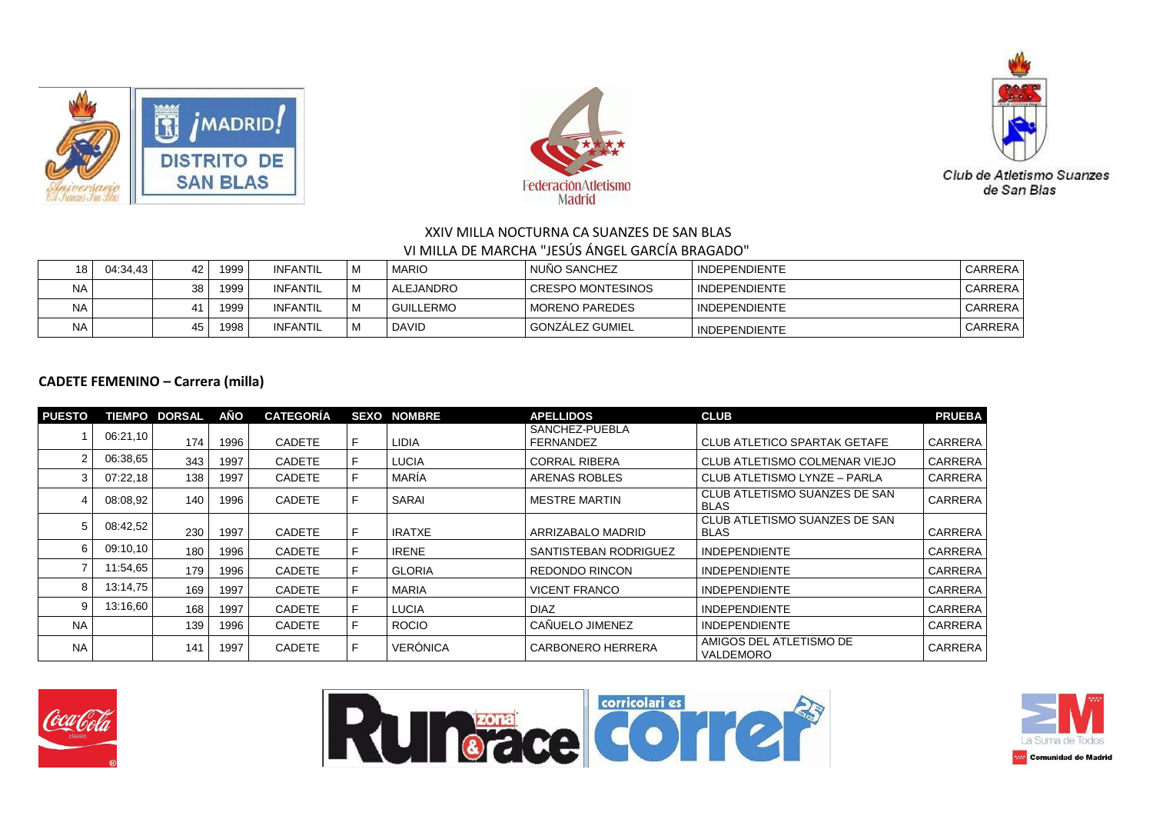





| 18        | 04:34.43 | 42              | 1999. | INFANTIL | M | <b>MARIO</b>     | I NUÑO SANCHEZ      | <b>INDEPENDIENTE</b> | CARRERA        |
|-----------|----------|-----------------|-------|----------|---|------------------|---------------------|----------------------|----------------|
| <b>NA</b> |          | 38 <sup>1</sup> | 1999  | INFANTIL | M | ALEJANDRO        | I CRESPO MONTESINOS | <b>INDEPENDIENTE</b> | CARRERA        |
| <b>NA</b> |          | 41              | 1999  | INFANTIL | M | <b>GUILLERMO</b> | I MORENO PAREDES    | I INDEPENDIENTE      | CARRERA        |
| <b>NA</b> |          | 45              | 1998  | INFANTIL | M | <b>DAVID</b>     | l GONZALEZ GUMIEL   | I INDEPENDIENTE      | <b>CARRERA</b> |

## **CADETE FEMENINO – Carrera (milla)**

| <b>PUESTO</b> |          | <b>TIEMPO DORSAL</b> | AÑO  | <b>CATEGORÍA</b> |   | <b>SEXO NOMBRE</b> | <b>APELLIDOS</b>                   | <b>CLUB</b>                                  | <b>PRUEBA</b>  |
|---------------|----------|----------------------|------|------------------|---|--------------------|------------------------------------|----------------------------------------------|----------------|
|               | 06:21,10 | 174                  | 1996 | <b>CADETE</b>    |   | LIDIA              | SANCHEZ-PUEBLA<br><b>FERNANDEZ</b> | CLUB ATLETICO SPARTAK GETAFE                 | <b>CARRERA</b> |
|               | 06:38.65 | 343                  | 1997 | <b>CADETE</b>    |   | LUCIA              | <b>CORRAL RIBERA</b>               | CLUB ATLETISMO COLMENAR VIEJO                | CARRERA        |
|               | 07:22,18 | 138                  | 1997 | <b>CADETE</b>    | F | MARÍA              | ARENAS ROBLES                      | CLUB ATLETISMO LYNZE - PARLA                 | <b>CARRERA</b> |
|               | 08:08.92 | 140                  | 1996 | <b>CADETE</b>    |   | SARAI              | <b>MESTRE MARTIN</b>               | CLUB ATLETISMO SUANZES DE SAN<br><b>BLAS</b> | <b>CARRERA</b> |
|               | 08:42,52 | 230                  | 1997 | <b>CADETE</b>    |   | <b>IRATXE</b>      | ARRIZABALO MADRID                  | CLUB ATLETISMO SUANZES DE SAN<br><b>BLAS</b> | <b>CARRERA</b> |
|               | 09:10.10 | 180                  | 1996 | <b>CADETE</b>    |   | <b>IRENE</b>       | SANTISTEBAN RODRIGUEZ              | <b>INDEPENDIENTE</b>                         | CARRERA        |
|               | 11:54,65 | 179                  | 1996 | <b>CADETE</b>    |   | <b>GLORIA</b>      | <b>REDONDO RINCON</b>              | <b>INDEPENDIENTE</b>                         | CARRERA        |
|               | 13:14.75 | 169                  | 1997 | <b>CADETE</b>    |   | <b>MARIA</b>       | <b>VICENT FRANCO</b>               | <b>INDEPENDIENTE</b>                         | <b>CARRERA</b> |
|               | 13:16,60 | 168                  | 1997 | <b>CADETE</b>    |   | LUCIA              | <b>DIAZ</b>                        | <b>INDEPENDIENTE</b>                         | CARRERA        |
| <b>NA</b>     |          | 139                  | 1996 | <b>CADETE</b>    |   | <b>ROCIO</b>       | CAÑUELO JIMENEZ                    | <b>INDEPENDIENTE</b>                         | <b>CARRERA</b> |
| <b>NA</b>     |          | 141                  | 1997 | <b>CADETE</b>    | F | <b>VERÓNICA</b>    | <b>CARBONERO HERRERA</b>           | AMIGOS DEL ATLETISMO DE<br>VALDEMORO         | <b>CARRERA</b> |





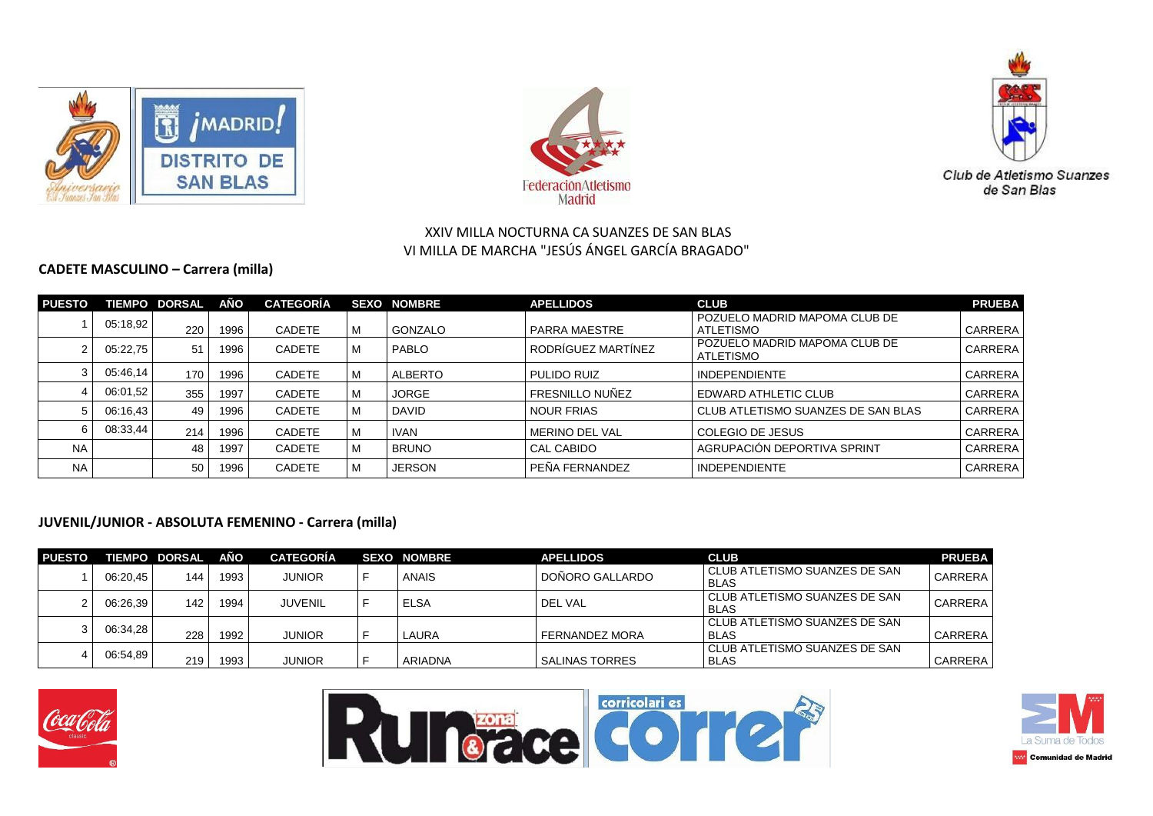





### **CADETE MASCULINO – Carrera (milla)**

| <b>PUESTO</b> |          | <b>TIEMPO DORSAL</b> | AÑO  | <b>CATEGORÍA</b> |   | <b>SEXO NOMBRE</b> | <b>APELLIDOS</b>      | <b>CLUB</b>                                       | <b>PRUEBA</b>  |
|---------------|----------|----------------------|------|------------------|---|--------------------|-----------------------|---------------------------------------------------|----------------|
|               | 05:18,92 | 220                  | 1996 | <b>CADETE</b>    | M | GONZALO            | PARRA MAESTRE         | POZUELO MADRID MAPOMA CLUB DE<br>ATLETISMO        | CARRERA        |
|               | 05:22,75 | 51                   | 1996 | <b>CADETE</b>    | M | PABLO              | RODRÍGUEZ MARTÍNEZ    | POZUELO MADRID MAPOMA CLUB DE<br><b>ATLETISMO</b> | <b>CARRERA</b> |
|               | 05:46,14 | 170                  | 1996 | <b>CADETE</b>    | M | <b>ALBERTO</b>     | PULIDO RUIZ           | <b>INDEPENDIENTE</b>                              | <b>CARRERA</b> |
|               | 06:01.52 | 355                  | 1997 | <b>CADETE</b>    | M | <b>JORGE</b>       | FRESNILLO NUÑEZ       | <b>EDWARD ATHLETIC CLUB</b>                       | <b>CARRERA</b> |
|               | 06:16.43 | 49                   | 1996 | <b>CADETE</b>    | M | <b>DAVID</b>       | <b>NOUR FRIAS</b>     | CLUB ATLETISMO SUANZES DE SAN BLAS                | <b>CARRERA</b> |
|               | 08:33,44 | 214                  | 1996 | <b>CADETE</b>    | M | <b>IVAN</b>        | <b>MERINO DEL VAL</b> | COLEGIO DE JESUS                                  | <b>CARRERA</b> |
| <b>NA</b>     |          | 48                   | 1997 | <b>CADETE</b>    | M | <b>BRUNO</b>       | <b>CAL CABIDO</b>     | AGRUPACIÓN DEPORTIVA SPRINT                       | CARRERA        |
| <b>NA</b>     |          | 50                   | 1996 | <b>CADETE</b>    | M | <b>JERSON</b>      | PEÑA FERNANDEZ        | <b>INDEPENDIENTE</b>                              | <b>CARRERA</b> |

## **JUVENIL/JUNIOR - ABSOLUTA FEMENINO - Carrera (milla)**

| <b>PUESTO</b> |          | <b>TIEMPO DORSAL</b> | AÑO  | <b>CATEGORÍA</b> | <b>SEXO NOMBRE</b> | <b>APELLIDOS</b>      | <b>CLUB</b>                                    | <b>PRUEBA</b> |
|---------------|----------|----------------------|------|------------------|--------------------|-----------------------|------------------------------------------------|---------------|
|               | 06:20.45 | 144                  | 1993 | <b>JUNIOR</b>    | ANAIS              | DOÑORO GALLARDO       | I CLUB ATLETISMO SUANZES DE SAN<br><b>BLAS</b> | CARRERA       |
|               | 06:26.39 | 142                  | 1994 | <b>JUVENIL</b>   | <b>ELSA</b>        | DEL VAL               | I CLUB ATLETISMO SUANZES DE SAN<br><b>BLAS</b> | CARRERA       |
|               | 06:34.28 | 228                  | 1992 | <b>JUNIOR</b>    | LAURA              | <b>FERNANDEZ MORA</b> | l CLUB ATLETISMO SUANZES DE SAN<br><b>BLAS</b> | CARRERA       |
|               | 06:54.89 | 219                  | 1993 | <b>JUNIOR</b>    | ARIADNA            | <b>SALINAS TORRES</b> | CLUB ATLETISMO SUANZES DE SAN<br><b>BLAS</b>   | CARRERA       |





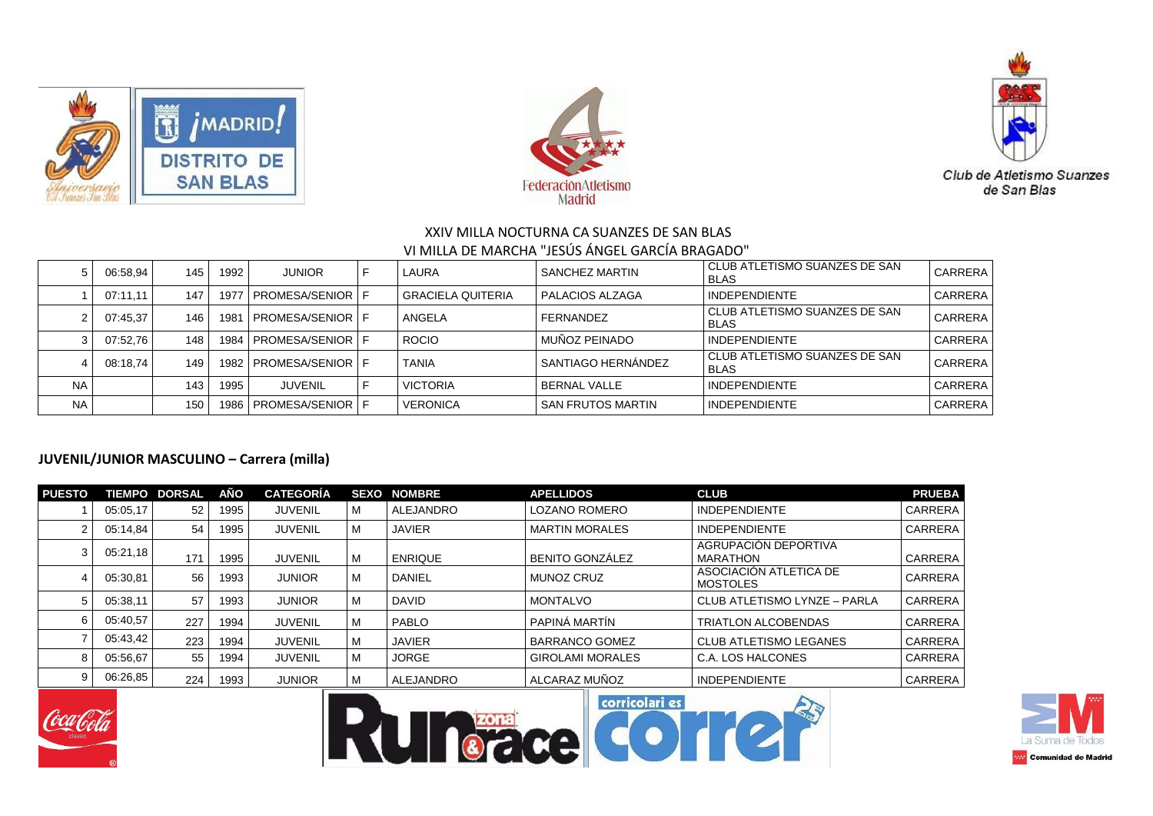





|           | 06:58,94 | 145 | 1992 | <b>JUNIOR</b>               | LAURA             | <b>SANCHEZ MARTIN</b> | CLUB ATLETISMO SUANZES DE SAN<br><b>BLAS</b> | CARRERA |
|-----------|----------|-----|------|-----------------------------|-------------------|-----------------------|----------------------------------------------|---------|
|           | 07:11.11 | 147 | 1977 | <b>I PROMESA/SENIOR I F</b> | GRACIELA QUITERIA | I PALACIOS ALZAGA     | <b>INDEPENDIENTE</b>                         | CARRERA |
|           | 07:45.37 | 146 | 1981 | <b>I PROMESA/SENIOR I F</b> | ANGELA            | FERNANDEZ             | CLUB ATLETISMO SUANZES DE SAN<br><b>BLAS</b> | CARRERA |
|           | 07:52.76 | 148 |      | 1984   PROMESA/SENIOR   F   | <b>ROCIO</b>      | MUÑOZ PEINADO         | <b>INDEPENDIENTE</b>                         | CARRERA |
|           | 08:18.74 | 149 |      | 1982   PROMESA/SENIOR   F   | <b>TANIA</b>      | SANTIAGO HERNANDEZ    | CLUB ATLETISMO SUANZES DE SAN<br><b>BLAS</b> | CARRERA |
| <b>NA</b> |          | 143 | 1995 | <b>JUVENIL</b>              | <b>VICTORIA</b>   | <b>BERNAL VALLE</b>   | <b>INDEPENDIENTE</b>                         | CARRERA |
| <b>NA</b> |          | 150 | 1986 | <b>I PROMESA/SENIOR I F</b> | <b>VERONICA</b>   | SAN FRUTOS MARTIN     | <b>INDEPENDIENTE</b>                         | CARRERA |

#### **JUVENIL/JUNIOR MASCULINO – Carrera (milla)**

| <b>PUESTO</b> |          | <b>TIEMPO DORSAL</b> | AÑO  | <b>CATEGORÍA</b> |   | <b>SEXO NOMBRE</b> | <b>APELLIDOS</b>        | <b>CLUB</b>                               | <b>PRUEBA</b>  |
|---------------|----------|----------------------|------|------------------|---|--------------------|-------------------------|-------------------------------------------|----------------|
|               | 05:05.17 | 52                   | 1995 | JUVENIL          | м | ALEJANDRO          | <b>LOZANO ROMERO</b>    | <b>INDEPENDIENTE</b>                      | <b>CARRERA</b> |
|               | 05:14.84 | 54                   | 1995 | JUVENIL          | M | <b>JAVIER</b>      | <b>MARTIN MORALES</b>   | <b>INDEPENDIENTE</b>                      | <b>CARRERA</b> |
| ٩             | 05:21,18 | 171                  | 1995 | <b>JUVENIL</b>   | м | <b>ENRIQUE</b>     | <b>BENITO GONZÁLEZ</b>  | AGRUPACIÓN DEPORTIVA<br>MARATHON          | <b>CARRERA</b> |
|               | 05:30.81 | 56                   | 1993 | <b>JUNIOR</b>    | M | DANIEL             | <b>MUNOZ CRUZ</b>       | ASOCIACIÓN ATLETICA DE<br><b>MOSTOLES</b> | <b>CARRERA</b> |
|               | 05:38,11 | 57                   | 1993 | <b>JUNIOR</b>    | M | <b>DAVID</b>       | <b>MONTALVO</b>         | CLUB ATLETISMO LYNZE - PARLA              | <b>CARRERA</b> |
|               | 05:40,57 | 227                  | 1994 | <b>JUVENIL</b>   | M | PABLO              | PAPINÁ MARTÍN           | <b>TRIATLON ALCOBENDAS</b>                | <b>CARRERA</b> |
|               | 05:43,42 | 223                  | 1994 | <b>JUVENIL</b>   | м | <b>JAVIER</b>      | <b>BARRANCO GOMEZ</b>   | l CLUB ATLETISMO LEGANES                  | <b>CARRERA</b> |
|               | 05:56.67 | 55                   | 1994 | <b>JUVENIL</b>   | м | <b>JORGE</b>       | <b>GIROLAMI MORALES</b> | l C.A. LOS HALCONES                       | <b>CARRERA</b> |
|               | 06:26,85 | 224                  | 1993 | <b>JUNIOR</b>    | M | ALEJANDRO          | ALCARAZ MUÑOZ           | <b>INDEPENDIENTE</b>                      | CARRERA        |







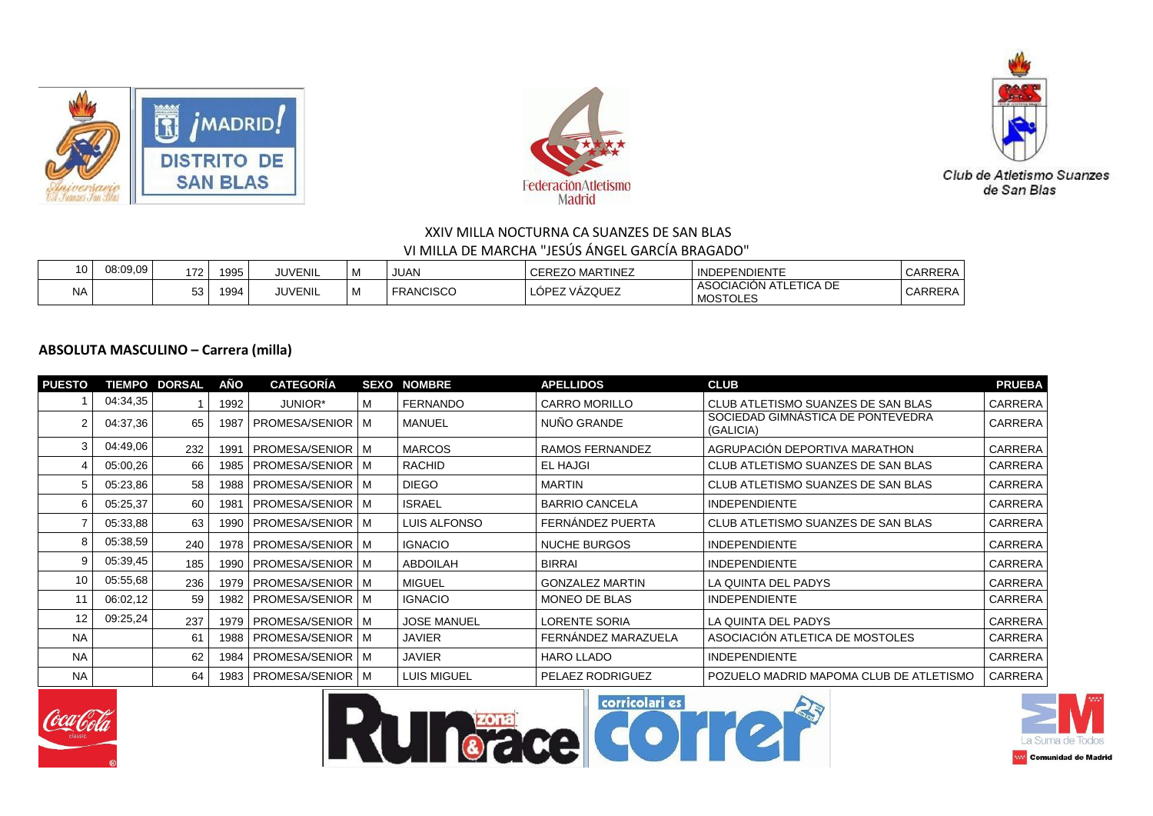





| 10 | 08:09.09 | 172      | 1995 | <b>JUVENIL</b> | I M | <b>JUAN</b>      | <b>CEREZO MARTINEZ</b>         | <b>INDEPENDIENTE</b>                                         | CARRERA |
|----|----------|----------|------|----------------|-----|------------------|--------------------------------|--------------------------------------------------------------|---------|
| NA |          | -^<br>JJ | 1994 | <b>JUVENIL</b> | ' M | <b>FRANCISCO</b> | VÁZQUEZ<br><b>ODEZ</b><br>ั∟∪เ | ASOCIACIÓ <sup>N</sup><br>LETICA DE<br>AT<br><b>MOSTOLES</b> | CARRERA |

#### **ABSOLUTA MASCULINO – Carrera (milla)**

| <b>PUESTO</b> |          | <b>TIEMPO DORSAL</b> | AÑO              | <b>CATEGORIA</b>          | <b>SEXO NOMBRE</b> | <b>APELLIDOS</b>       | <b>CLUB</b>                                    | <b>PRUEBA</b>  |
|---------------|----------|----------------------|------------------|---------------------------|--------------------|------------------------|------------------------------------------------|----------------|
|               | 04:34,35 |                      | 1992             | JUNIOR*                   | <b>FERNANDO</b>    | <b>CARRO MORILLO</b>   | CLUB ATLETISMO SUANZES DE SAN BLAS             | CARRERA        |
|               | 04:37,36 | 65                   | 1987             | <b>PROMESA/SENIOR   M</b> | MANUEL             | NUÑO GRANDE            | SOCIEDAD GIMNASTICA DE PONTEVEDRA<br>(GALICIA) | CARRERA        |
| 3             | 04:49.06 | 232                  | 1991             | <b>PROMESA/SENIOR   M</b> | <b>MARCOS</b>      | RAMOS FERNANDEZ        | AGRUPACIÓN DEPORTIVA MARATHON                  | <b>CARRERA</b> |
|               | 05:00,26 | 66                   | 1985             | <b>PROMESA/SENIOR   M</b> | RACHID             | <b>EL HAJGI</b>        | CLUB ATLETISMO SUANZES DE SAN BLAS             | CARRERA        |
| 5             | 05:23,86 | 58                   | 1988             | <b>PROMESA/SENIOR   M</b> | <b>DIEGO</b>       | <b>MARTIN</b>          | CLUB ATLETISMO SUANZES DE SAN BLAS             | CARRERA        |
| 6             | 05:25,37 | 60                   | 198 <sup>7</sup> | <b>PROMESA/SENIOR   M</b> | <b>ISRAEL</b>      | <b>BARRIO CANCELA</b>  | INDEPENDIENTE                                  | CARRERA        |
|               | 05:33,88 | 63                   | 1990             | <b>PROMESA/SENIOR   M</b> | LUIS ALFONSO       | FERNANDEZ PUERTA       | CLUB ATLETISMO SUANZES DE SAN BLAS             | <b>CARRERA</b> |
| 8             | 05:38,59 | 240                  | 1978             | <b>PROMESA/SENIOR   M</b> | <b>IGNACIO</b>     | <b>NUCHE BURGOS</b>    | INDEPENDIENTE                                  | CARRERA        |
| 9             | 05:39,45 | 185                  | 1990             | <b>PROMESA/SENIOR   M</b> | <b>ABDOILAH</b>    | <b>BIRRAI</b>          | <b>INDEPENDIENTE</b>                           | CARRERA        |
| 10            | 05:55,68 | 236                  | 1979             | <b>PROMESA/SENIOR   M</b> | <b>MIGUEL</b>      | <b>GONZALEZ MARTIN</b> | LA QUINTA DEL PADYS                            | CARRERA        |
| 11            | 06:02,12 | 59                   | 1982             | <b>PROMESA/SENIOR   M</b> | <b>IGNACIO</b>     | MONEO DE BLAS          | INDEPENDIENTE                                  | CARRERA        |
| 12            | 09:25,24 | 237                  | 1979             | <b>PROMESA/SENIOR   M</b> | <b>JOSE MANUEL</b> | <b>LORENTE SORIA</b>   | LA QUINTA DEL PADYS                            | CARRERA        |
| <b>NA</b>     |          | -61                  | 1988             | <b>PROMESA/SENIOR   M</b> | <b>JAVIER</b>      | FERNÁNDEZ MARAZUELA    | ASOCIACIÓN ATLETICA DE MOSTOLES                | CARRERA        |
| <b>NA</b>     |          | 62                   | 1984             | <b>PROMESA/SENIOR   M</b> | <b>JAVIER</b>      | <b>HARO LLADO</b>      | INDEPENDIENTE                                  | CARRERA        |
| <b>NA</b>     |          | 64                   | 1983             | PROMESA/SENIOR   M        | LUIS MIGUEL        | PELAEZ RODRIGUEZ       | POZUELO MADRID MAPOMA CLUB DE ATLETISMO        | CARRERA        |







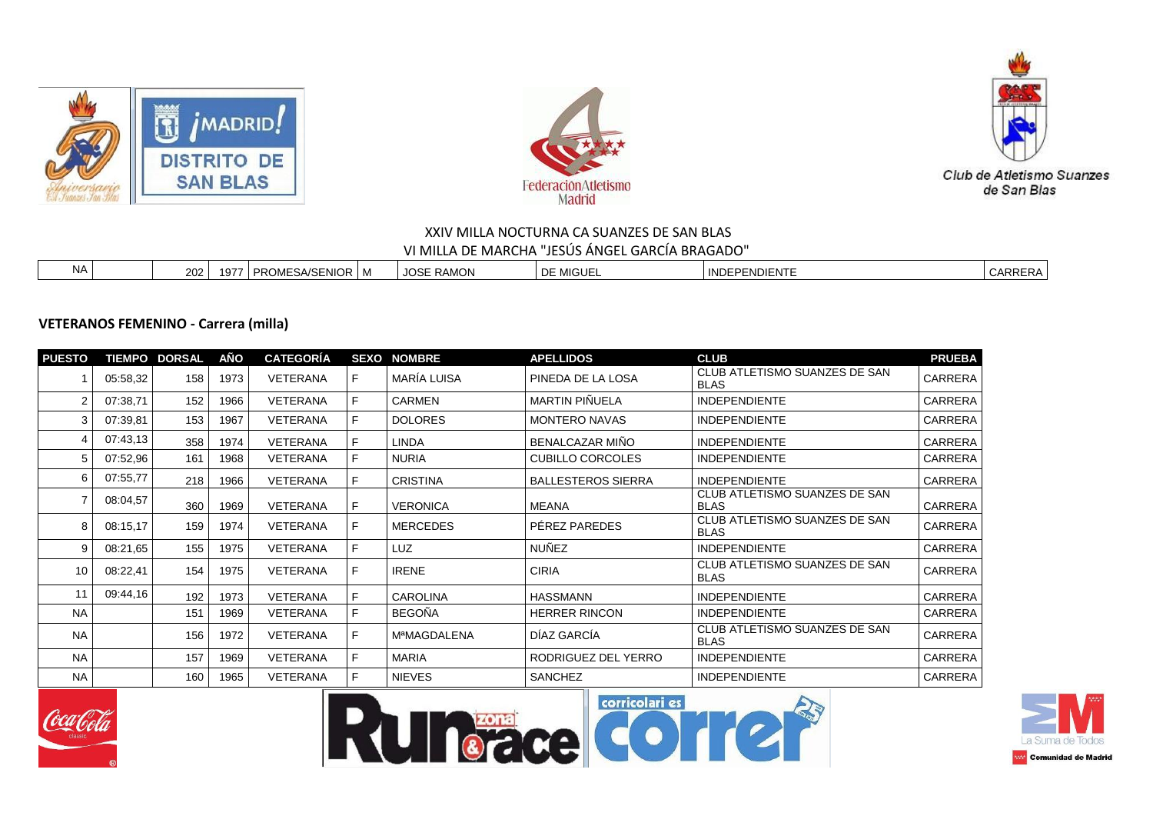





#### **VETERANOS FEMENINO - Carrera (milla)**

| <b>PUESTO</b> |          | <b>TIEMPO DORSAL</b> | AÑO  | <b>CATEGORÍA</b> |   | <b>SEXO NOMBRE</b> | <b>APELLIDOS</b>          | <b>CLUB</b>                                  | <b>PRUEBA</b>  |
|---------------|----------|----------------------|------|------------------|---|--------------------|---------------------------|----------------------------------------------|----------------|
|               | 05:58,32 | 158                  | 1973 | <b>VETERANA</b>  | F | MARÍA LUISA        | PINEDA DE LA LOSA         | CLUB ATLETISMO SUANZES DE SAN<br><b>BLAS</b> | CARRERA        |
|               | 07:38,71 | 152                  | 1966 | <b>VETERANA</b>  | F | <b>CARMEN</b>      | MARTIN PIÑUELA            | <b>INDEPENDIENTE</b>                         | <b>CARRERA</b> |
|               | 07:39.81 | 153                  | 1967 | <b>VETERANA</b>  | F | <b>DOLORES</b>     | <b>MONTERO NAVAS</b>      | <b>INDEPENDIENTE</b>                         | <b>CARRERA</b> |
|               | 07:43.13 | 358                  | 1974 | <b>VETERANA</b>  | F | <b>LINDA</b>       | BENALCAZAR MIÑO           | <b>INDEPENDIENTE</b>                         | CARRERA        |
|               | 07:52,96 | 161                  | 1968 | <b>VETERANA</b>  | F | <b>NURIA</b>       | <b>CUBILLO CORCOLES</b>   | <b>INDEPENDIENTE</b>                         | CARRERA        |
| 6             | 07:55,77 | 218                  | 1966 | VETERANA         | F | <b>CRISTINA</b>    | <b>BALLESTEROS SIERRA</b> | <b>INDEPENDIENTE</b>                         | CARRERA        |
|               | 08:04,57 | 360                  | 1969 | VETERANA         | F | <b>VERONICA</b>    | <b>MEANA</b>              | CLUB ATLETISMO SUANZES DE SAN<br><b>BLAS</b> | CARRERA        |
| 8             | 08:15,17 | 159                  | 1974 | <b>VETERANA</b>  | F | <b>MERCEDES</b>    | PEREZ PAREDES             | CLUB ATLETISMO SUANZES DE SAN<br><b>BLAS</b> | CARRERA        |
| 9             | 08:21,65 | 155                  | 1975 | <b>VETERANA</b>  | F | <b>LUZ</b>         | <b>NUÑEZ</b>              | <b>INDEPENDIENTE</b>                         | <b>CARRERA</b> |
| 10            | 08:22,41 | 154                  | 1975 | VETERANA         | F | <b>IRENE</b>       | <b>CIRIA</b>              | CLUB ATLETISMO SUANZES DE SAN<br><b>BLAS</b> | <b>CARRERA</b> |
| 11            | 09:44.16 | 192                  | 1973 | <b>VETERANA</b>  | F | <b>CAROLINA</b>    | HASSMANN                  | <b>INDEPENDIENTE</b>                         | CARRERA        |
| <b>NA</b>     |          | 151                  | 1969 | <b>VETERANA</b>  | F | <b>BEGOÑA</b>      | <b>HERRER RINCON</b>      | <b>INDEPENDIENTE</b>                         | CARRERA        |
| <b>NA</b>     |          | 156                  | 1972 | VETERANA         | F | <b>MªMAGDALENA</b> | DÍAZ GARCÍA               | CLUB ATLETISMO SUANZES DE SAN<br><b>BLAS</b> | <b>CARRERA</b> |
| <b>NA</b>     |          | 157                  | 1969 | <b>VETERANA</b>  | F | <b>MARIA</b>       | RODRIGUEZ DEL YERRO       | <b>INDEPENDIENTE</b>                         | CARRERA        |
| <b>NA</b>     |          | 160                  | 1965 | <b>VETERANA</b>  | F | <b>NIEVES</b>      | <b>SANCHEZ</b>            | <b>INDEPENDIENTE</b>                         | CARRERA        |







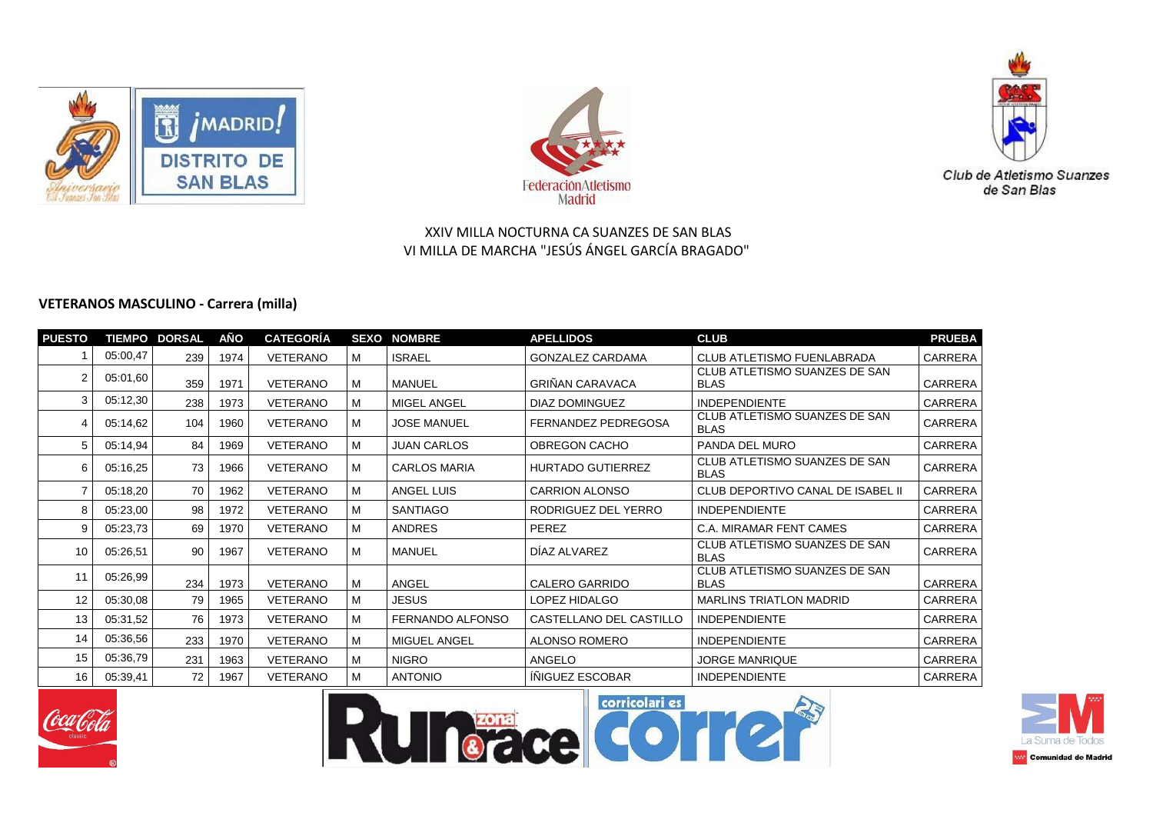





## **VETERANOS MASCULINO - Carrera (milla)**

| <b>PUESTO</b> |          | <b>TIEMPO DORSAL</b> | AÑO  | <b>CATEGORÍA</b> |   | <b>SEXO NOMBRE</b>  | <b>APELLIDOS</b>         | <b>CLUB</b>                                  | <b>PRUEBA</b>  |
|---------------|----------|----------------------|------|------------------|---|---------------------|--------------------------|----------------------------------------------|----------------|
|               | 05:00,47 | 239                  | 1974 | VETERANO         | м | <b>ISRAEL</b>       | <b>GONZALEZ CARDAMA</b>  | <b>CLUB ATLETISMO FUENLABRADA</b>            | CARRERA        |
| 2             | 05:01,60 | 359                  | 1971 | VETERANO         | м | MANUEL              | <b>GRIÑAN CARAVACA</b>   | CLUB ATLETISMO SUANZES DE SAN<br><b>BLAS</b> | CARRERA        |
| 3             | 05:12,30 | 238                  | 1973 | VETERANO         |   | MIGEL ANGEL         | DIAZ DOMINGUEZ           | <b>INDEPENDIENTE</b>                         | <b>CARRERA</b> |
| 4             | 05:14.62 | 104                  | 1960 | <b>VETERANO</b>  | M | <b>JOSE MANUEL</b>  | FERNANDEZ PEDREGOSA      | CLUB ATLETISMO SUANZES DE SAN<br><b>BLAS</b> | CARRERA        |
| 5             | 05:14,94 | 84                   | 1969 | VETERANO         | м | <b>JUAN CARLOS</b>  | OBREGON CACHO            | PANDA DEL MURO                               | CARRERA        |
| 6             | 05:16,25 | 73                   | 1966 | VETERANO         | M | <b>CARLOS MARIA</b> | <b>HURTADO GUTIERREZ</b> | CLUB ATLETISMO SUANZES DE SAN<br><b>BLAS</b> | CARRERA        |
|               | 05:18,20 | 70                   | 1962 | VETERANO         | м | ANGEL LUIS          | <b>CARRION ALONSO</b>    | CLUB DEPORTIVO CANAL DE ISABEL II            | CARRERA        |
| 8             | 05:23,00 | 98                   | 1972 | VETERANO         | м | <b>SANTIAGO</b>     | RODRIGUEZ DEL YERRO      | <b>INDEPENDIENTE</b>                         | CARRERA        |
| 9             | 05:23,73 | 69                   | 1970 | VETERANO         | м | <b>ANDRES</b>       | PEREZ                    | C.A. MIRAMAR FENT CAMES                      | CARRERA        |
| 10            | 05:26,51 | 90                   | 1967 | VETERANO         | м | MANUEL              | DIAZ ALVAREZ             | CLUB ATLETISMO SUANZES DE SAN<br><b>BLAS</b> | CARRERA        |
| 11            | 05:26,99 | 234                  | 1973 | VETERANO         | M | ANGEL               | <b>CALERO GARRIDO</b>    | CLUB ATLETISMO SUANZES DE SAN<br><b>BLAS</b> | CARRERA        |
| 12            | 05:30,08 | 79                   | 1965 | VETERANO         | M | <b>JESUS</b>        | LOPEZ HIDALGO            | <b>MARLINS TRIATLON MADRID</b>               | CARRERA        |
| 13            | 05:31,52 | 76                   | 1973 | VETERANO         | M | FERNANDO ALFONSO    | CASTELLANO DEL CASTILLO  | <b>INDEPENDIENTE</b>                         | CARRERA        |
| 14            | 05:36,56 | 233                  | 1970 | VETERANO         | M | MIGUEL ANGEL        | ALONSO ROMERO            | <b>INDEPENDIENTE</b>                         | CARRERA        |
| 15            | 05:36,79 | 231                  | 1963 | VETERANO         | м | <b>NIGRO</b>        | ANGELO                   | <b>JORGE MANRIQUE</b>                        | CARRERA        |
| 16            | 05:39.41 | 72                   | 1967 | <b>VETERANO</b>  |   | <b>ANTONIO</b>      | INIGUEZ ESCOBAR          | <b>INDEPENDIENTE</b>                         | CARRERA        |







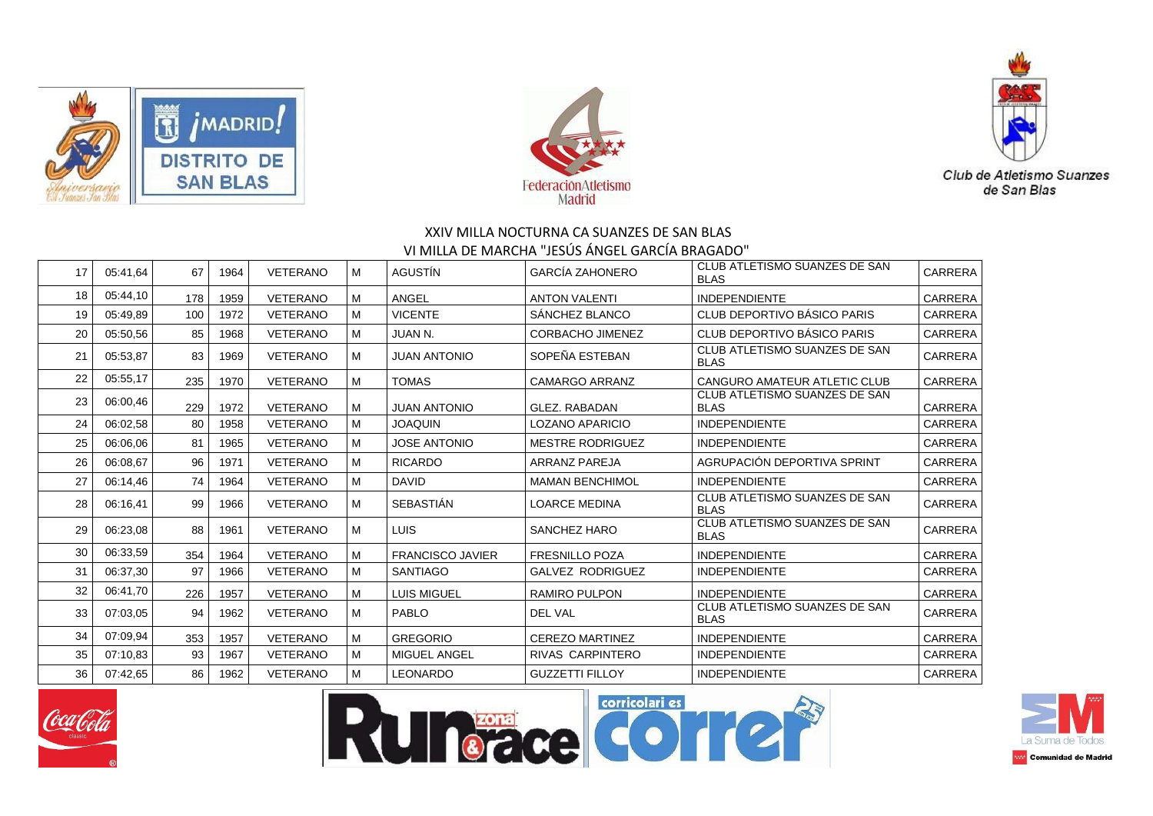





| 17 | 05:41.64 | 67  | 1964 | <b>VETERANO</b> | м | AGUSTÍN                 | <b>GARCÍA ZAHONERO</b>  | CLUB ATLETISMO SUANZES DE SAN<br><b>BLAS</b> | <b>CARRERA</b> |
|----|----------|-----|------|-----------------|---|-------------------------|-------------------------|----------------------------------------------|----------------|
| 18 | 05:44,10 | 178 | 1959 | <b>VETERANO</b> | M | ANGEL                   | <b>ANTON VALENTI</b>    | <b>INDEPENDIENTE</b>                         | <b>CARRERA</b> |
| 19 | 05:49.89 | 100 | 1972 | <b>VETERANO</b> | M | <b>VICENTE</b>          | SANCHEZ BLANCO          | CLUB DEPORTIVO BÁSICO PARIS                  | <b>CARRERA</b> |
| 20 | 05:50,56 | 85  | 1968 | <b>VETERANO</b> | M | <b>JUAN N.</b>          | <b>CORBACHO JIMENEZ</b> | CLUB DEPORTIVO BÁSICO PARIS                  | <b>CARRERA</b> |
| 21 | 05:53.87 | 83  | 1969 | <b>VETERANO</b> | м | <b>JUAN ANTONIO</b>     | SOPEÑA ESTEBAN          | CLUB ATLETISMO SUANZES DE SAN<br><b>BLAS</b> | <b>CARRERA</b> |
| 22 | 05:55,17 | 235 | 1970 | <b>VETERANO</b> | M | <b>TOMAS</b>            | <b>CAMARGO ARRANZ</b>   | <b>CANGURO AMATEUR ATLETIC CLUB</b>          | <b>CARRERA</b> |
| 23 | 06:00,46 | 229 | 1972 | <b>VETERANO</b> | M | <b>JUAN ANTONIO</b>     | <b>GLEZ, RABADAN</b>    | CLUB ATLETISMO SUANZES DE SAN<br><b>BLAS</b> | <b>CARRERA</b> |
| 24 | 06:02,58 | 80  | 1958 | <b>VETERANO</b> | M | <b>JOAQUIN</b>          | <b>LOZANO APARICIO</b>  | <b>INDEPENDIENTE</b>                         | CARRERA        |
| 25 | 06:06.06 | 81  | 1965 | <b>VETERANO</b> | M | <b>JOSE ANTONIO</b>     | <b>MESTRE RODRIGUEZ</b> | <b>INDEPENDIENTE</b>                         | <b>CARRERA</b> |
| 26 | 06:08.67 | 96  | 1971 | <b>VETERANO</b> | M | <b>RICARDO</b>          | <b>ARRANZ PAREJA</b>    | AGRUPACIÓN DEPORTIVA SPRINT                  | <b>CARRERA</b> |
| 27 | 06:14,46 | 74  | 1964 | <b>VETERANO</b> | M | <b>DAVID</b>            | <b>MAMAN BENCHIMOL</b>  | <b>INDEPENDIENTE</b>                         | <b>CARRERA</b> |
| 28 | 06:16,41 | 99  | 1966 | <b>VETERANO</b> | м | <b>SEBASTIÁN</b>        | <b>LOARCE MEDINA</b>    | CLUB ATLETISMO SUANZES DE SAN<br><b>BLAS</b> | <b>CARRERA</b> |
| 29 | 06:23,08 | 88  | 1961 | <b>VETERANO</b> | м | <b>LUIS</b>             | SANCHEZ HARO            | CLUB ATLETISMO SUANZES DE SAN<br><b>BLAS</b> | <b>CARRERA</b> |
| 30 | 06:33,59 | 354 | 1964 | <b>VETERANO</b> | M | <b>FRANCISCO JAVIER</b> | <b>FRESNILLO POZA</b>   | <b>INDEPENDIENTE</b>                         | CARRERA        |
| 31 | 06:37,30 | 97  | 1966 | <b>VETERANO</b> | M | <b>SANTIAGO</b>         | <b>GALVEZ RODRIGUEZ</b> | <b>INDEPENDIENTE</b>                         | CARRERA        |
| 32 | 06:41.70 | 226 | 1957 | VETERANO        | M | <b>LUIS MIGUEL</b>      | <b>RAMIRO PULPON</b>    | <b>INDEPENDIENTE</b>                         | CARRERA        |
| 33 | 07:03.05 | 94  | 1962 | VETERANO        | м | PABLO                   | <b>DEL VAL</b>          | CLUB ATLETISMO SUANZES DE SAN<br><b>BLAS</b> | <b>CARRERA</b> |
| 34 | 07:09.94 | 353 | 1957 | <b>VETERANO</b> | M | <b>GREGORIO</b>         | <b>CEREZO MARTINEZ</b>  | <b>INDEPENDIENTE</b>                         | <b>CARRERA</b> |
| 35 | 07:10.83 | 93  | 1967 | <b>VETERANO</b> | M | <b>MIGUEL ANGEL</b>     | RIVAS CARPINTERO        | <b>INDEPENDIENTE</b>                         | CARRERA        |
| 36 | 07:42,65 | 86  | 1962 | <b>VETERANO</b> | м | <b>LEONARDO</b>         | <b>GUZZETTI FILLOY</b>  | <b>INDEPENDIENTE</b>                         | <b>CARRERA</b> |
|    |          |     |      |                 |   |                         |                         |                                              |                |







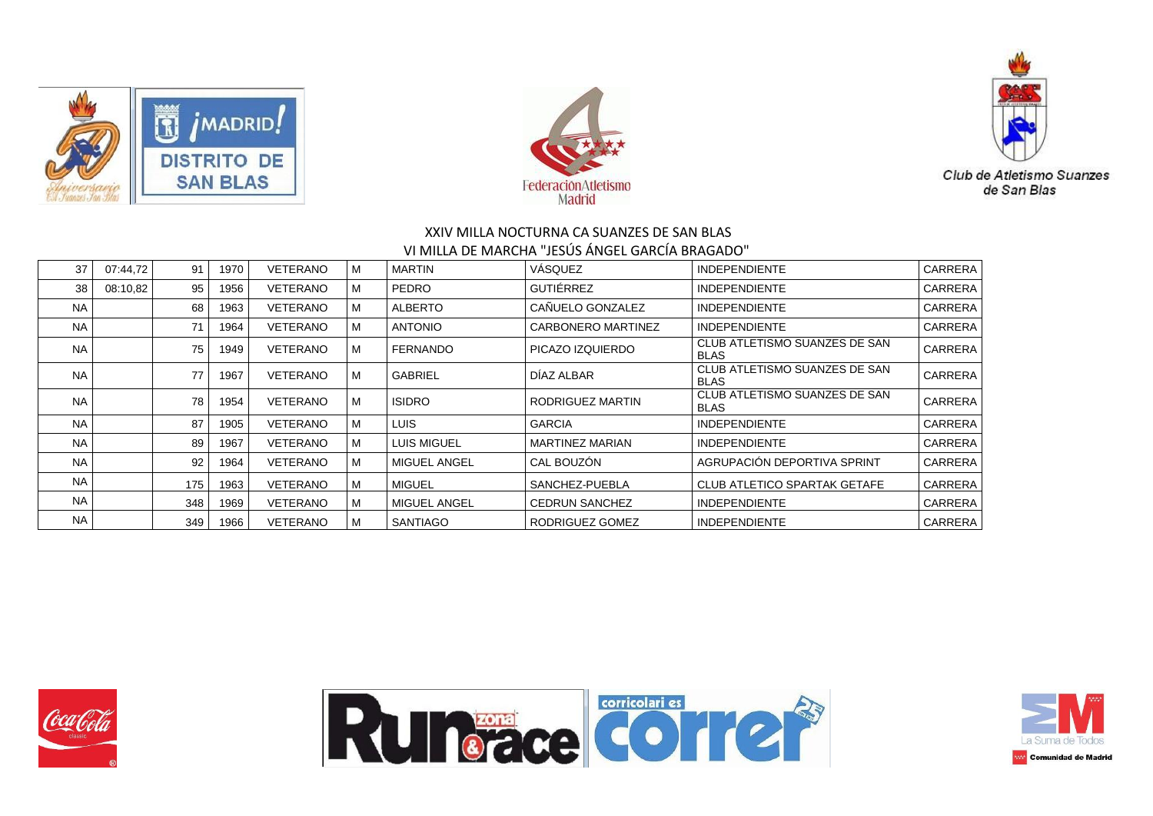





| 37        | 07:44.72 | 91  | 1970 | VETERANO        | M | <b>MARTIN</b>       | VÁSQUEZ                | <b>INDEPENDIENTE</b>                         | <b>CARRERA</b> |
|-----------|----------|-----|------|-----------------|---|---------------------|------------------------|----------------------------------------------|----------------|
| 38        | 08:10,82 | 95  | 1956 | <b>VETERANO</b> | M | <b>PEDRO</b>        | GUTIÉRREZ              | <b>INDEPENDIENTE</b>                         | <b>CARRERA</b> |
| <b>NA</b> |          | 68  | 1963 | VETERANO        | M | <b>ALBERTO</b>      | CAÑUELO GONZALEZ       | <b>INDEPENDIENTE</b>                         | <b>CARRERA</b> |
| <b>NA</b> |          | 71  | 1964 | VETERANO        | M | <b>ANTONIO</b>      | CARBONERO MARTINEZ     | <b>INDEPENDIENTE</b>                         | <b>CARRERA</b> |
| <b>NA</b> |          | 75  | 1949 | <b>VETERANO</b> | M | <b>FERNANDO</b>     | PICAZO IZQUIERDO       | CLUB ATLETISMO SUANZES DE SAN<br><b>BLAS</b> | <b>CARRERA</b> |
| <b>NA</b> |          | 77  | 1967 | VETERANO        | M | <b>GABRIEL</b>      | DÍAZ ALBAR             | CLUB ATLETISMO SUANZES DE SAN<br><b>BLAS</b> | CARRERA        |
| <b>NA</b> |          | 78  | 1954 | VETERANO        | м | <b>ISIDRO</b>       | RODRIGUEZ MARTIN       | CLUB ATLETISMO SUANZES DE SAN<br><b>BLAS</b> | <b>CARRERA</b> |
| <b>NA</b> |          | 87  | 1905 | VETERANO        | M | LUIS.               | <b>GARCIA</b>          | <b>INDEPENDIENTE</b>                         | <b>CARRERA</b> |
| <b>NA</b> |          | 89  | 1967 | <b>VETERANO</b> | M | <b>LUIS MIGUEL</b>  | <b>MARTINEZ MARIAN</b> | <b>INDEPENDIENTE</b>                         | <b>CARRERA</b> |
| <b>NA</b> |          | 92  | 1964 | <b>VETERANO</b> | M | <b>MIGUEL ANGEL</b> | CAL BOUZON             | AGRUPACIÓN DEPORTIVA SPRINT                  | <b>CARRERA</b> |
| <b>NA</b> |          | 175 | 1963 | VETERANO        | м | MIGUEL              | SANCHEZ-PUEBLA         | CLUB ATLETICO SPARTAK GETAFE                 | <b>CARRERA</b> |
| <b>NA</b> |          | 348 | 1969 | VETERANO        | M | <b>MIGUEL ANGEL</b> | <b>CEDRUN SANCHEZ</b>  | <b>INDEPENDIENTE</b>                         | <b>CARRERA</b> |
| <b>NA</b> |          | 349 | 1966 | <b>VETERANO</b> | м | <b>SANTIAGO</b>     | RODRIGUEZ GOMEZ        | <b>INDEPENDIENTE</b>                         | <b>CARRERA</b> |





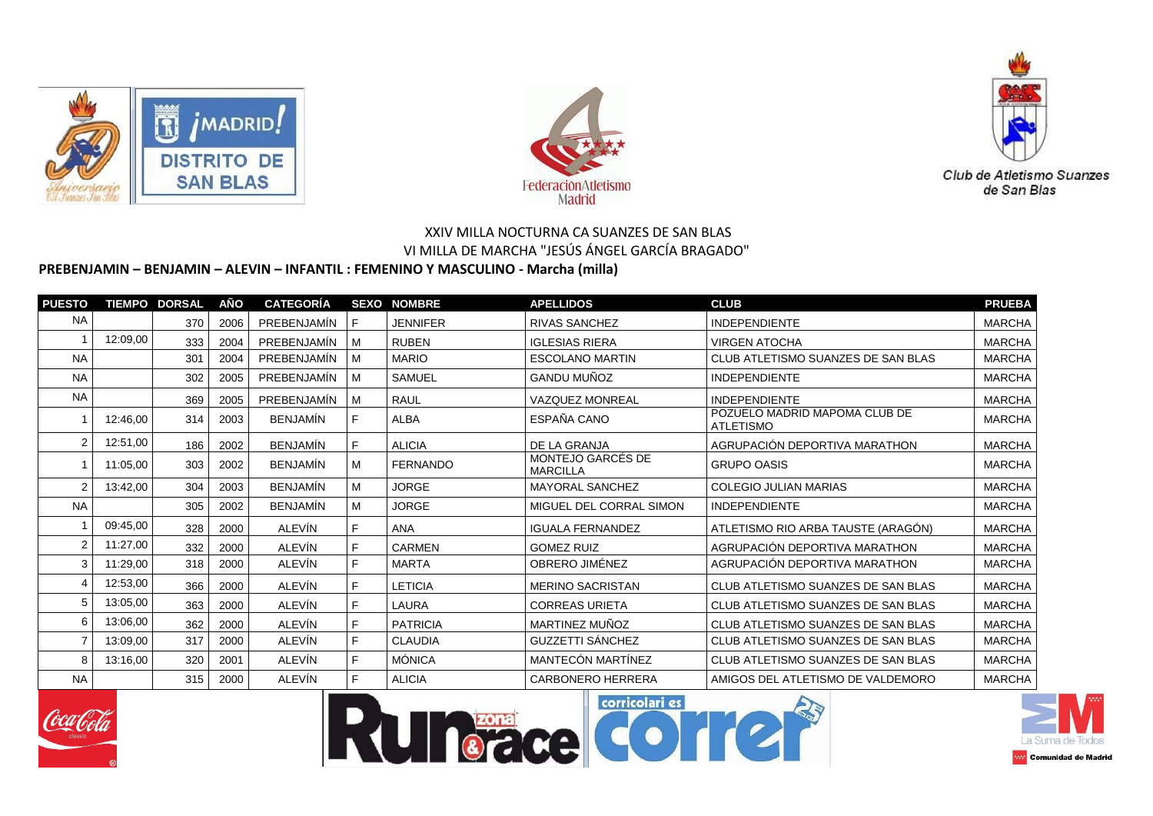





# **PREBENJAMIN – BENJAMIN – ALEVIN – INFANTIL : FEMENINO Y MASCULINO - Marcha (milla)**

| <b>PUESTO</b>  |          | <b>TIEMPO DORSAL</b> | AÑO  | <b>CATEGORÍA</b> |    | <b>SEXO NOMBRE</b> | <b>APELLIDOS</b>                     | <b>CLUB</b>                                       | <b>PRUEBA</b> |
|----------------|----------|----------------------|------|------------------|----|--------------------|--------------------------------------|---------------------------------------------------|---------------|
| <b>NA</b>      |          | 370                  | 2006 | PREBENJAMIN      | F. | <b>JENNIFER</b>    | <b>RIVAS SANCHEZ</b>                 | <b>INDEPENDIENTE</b>                              | <b>MARCHA</b> |
|                | 12:09.00 | 333                  | 2004 | PREBENJAMÍN      | М  | <b>RUBEN</b>       | <b>IGLESIAS RIERA</b>                | <b>VIRGEN ATOCHA</b>                              | <b>MARCHA</b> |
| <b>NA</b>      |          | 301                  | 2004 | PREBENJAMÍN      | M  | <b>MARIO</b>       | <b>ESCOLANO MARTIN</b>               | CLUB ATLETISMO SUANZES DE SAN BLAS                | <b>MARCHA</b> |
| <b>NA</b>      |          | 302                  | 2005 | PREBENJAMÍN      | M  | <b>SAMUEL</b>      | <b>GANDU MUÑOZ</b>                   | <b>INDEPENDIENTE</b>                              | <b>MARCHA</b> |
| <b>NA</b>      |          | 369                  | 2005 | PREBENJAMÍN      | M  | <b>RAUL</b>        | <b>VAZQUEZ MONREAL</b>               | <b>INDEPENDIENTE</b>                              | <b>MARCHA</b> |
|                | 12:46,00 | 314                  | 2003 | <b>BENJAMIN</b>  | F. | <b>ALBA</b>        | ESPAÑA CANO                          | POZUELO MADRID MAPOMA CLUB DE<br><b>ATLETISMO</b> | <b>MARCHA</b> |
| $\overline{2}$ | 12:51.00 | 186                  | 2002 | <b>BENJAMÍN</b>  | F. | <b>ALICIA</b>      | DE LA GRANJA                         | AGRUPACIÓN DEPORTIVA MARATHON                     | <b>MARCHA</b> |
|                | 11:05,00 | 303                  | 2002 | <b>BENJAMÍN</b>  | M  | <b>FERNANDO</b>    | MONTEJO GARCÉS DE<br><b>MARCILLA</b> | <b>GRUPO OASIS</b>                                | <b>MARCHA</b> |
| $\overline{2}$ | 13:42.00 | 304                  | 2003 | <b>BENJAMÍN</b>  | M  | <b>JORGE</b>       | <b>MAYORAL SANCHEZ</b>               | <b>COLEGIO JULIAN MARIAS</b>                      | <b>MARCHA</b> |
| <b>NA</b>      |          | 305                  | 2002 | <b>BENJAMÍN</b>  | M  | <b>JORGE</b>       | MIGUEL DEL CORRAL SIMON              | <b>INDEPENDIENTE</b>                              | <b>MARCHA</b> |
|                | 09:45.00 | 328                  | 2000 | ALEVÍN           | F. | ANA                | <b>IGUALA FERNANDEZ</b>              | ATLETISMO RIO ARBA TAUSTE (ARAGÓN)                | <b>MARCHA</b> |
| $\overline{2}$ | 11:27,00 | 332                  | 2000 | ALEVÍN           | F. | <b>CARMEN</b>      | <b>GOMEZ RUIZ</b>                    | AGRUPACIÓN DEPORTIVA MARATHON                     | <b>MARCHA</b> |
| 3              | 11:29,00 | 318                  | 2000 | ALEVÍN           | F. | <b>MARTA</b>       | OBRERO JIMÉNEZ                       | AGRUPACIÓN DEPORTIVA MARATHON                     | <b>MARCHA</b> |
| 4              | 12:53,00 | 366                  | 2000 | ALEVÍN           | F. | LETICIA            | <b>MERINO SACRISTAN</b>              | CLUB ATLETISMO SUANZES DE SAN BLAS                | <b>MARCHA</b> |
| 5              | 13:05,00 | 363                  | 2000 | ALEVÍN           | F. | LAURA              | <b>CORREAS URIETA</b>                | CLUB ATLETISMO SUANZES DE SAN BLAS                | <b>MARCHA</b> |
| 6              | 13:06,00 | 362                  | 2000 | ALEVÍN           | F. | <b>PATRICIA</b>    | MARTINEZ MUÑOZ                       | CLUB ATLETISMO SUANZES DE SAN BLAS                | <b>MARCHA</b> |
|                | 13:09,00 | 317                  | 2000 | ALEVÍN           | F. | <b>CLAUDIA</b>     | GUZZETTI SÁNCHEZ                     | CLUB ATLETISMO SUANZES DE SAN BLAS                | <b>MARCHA</b> |
| 8              | 13:16,00 | 320                  | 2001 | ALEVÍN           | F. | <b>MÓNICA</b>      | MANTECÓN MARTÍNEZ                    | CLUB ATLETISMO SUANZES DE SAN BLAS                | <b>MARCHA</b> |
| <b>NA</b>      |          | 315                  | 2000 | ALEVIN           | F. | <b>ALICIA</b>      | <b>CARBONERO HERRERA</b>             | AMIGOS DEL ATLETISMO DE VALDEMORO                 | <b>MARCHA</b> |







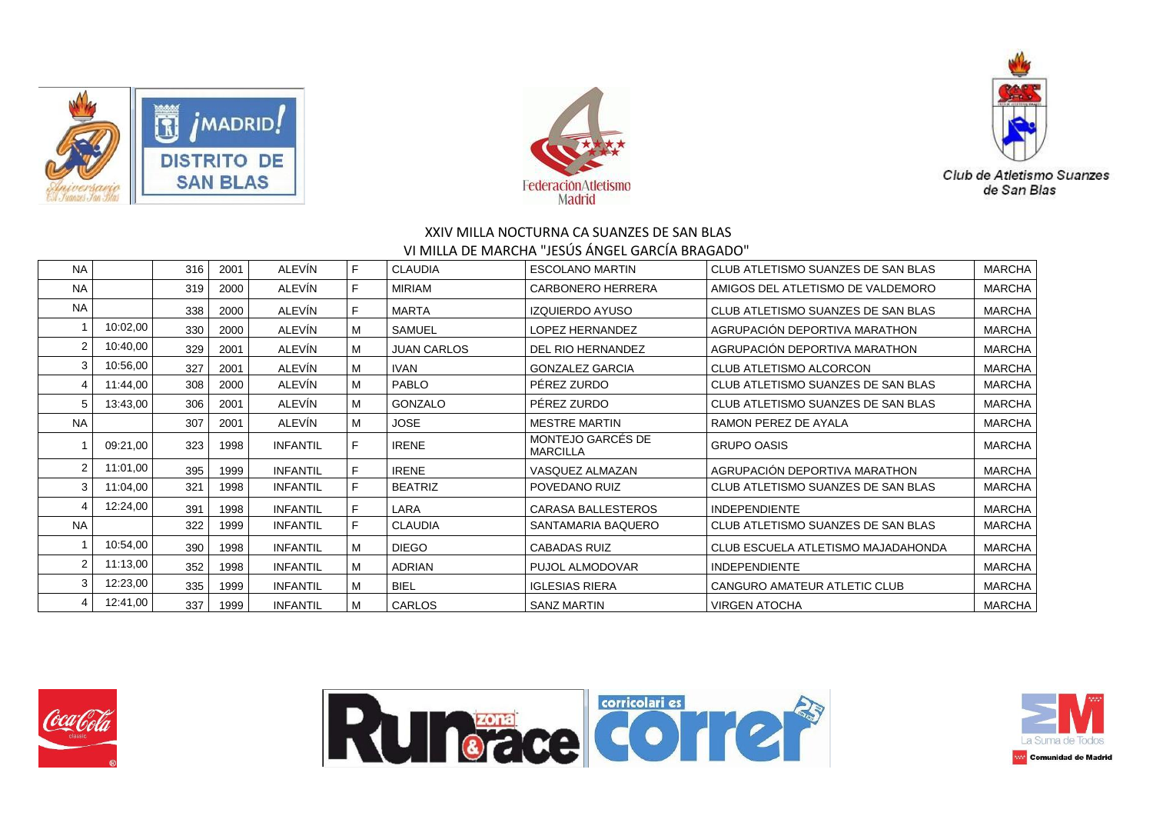





|          | 316 | 2001 | <b>ALEVIN</b>   | F  | <b>CLAUDIA</b>     | <b>ESCOLANO MARTIN</b>               | CLUB ATLETISMO SUANZES DE SAN BLAS | <b>MARCHA</b> |
|----------|-----|------|-----------------|----|--------------------|--------------------------------------|------------------------------------|---------------|
|          | 319 | 2000 | ALEVÍN          | F  | <b>MIRIAM</b>      | CARBONERO HERRERA                    | AMIGOS DEL ATLETISMO DE VALDEMORO  | <b>MARCHA</b> |
|          | 338 | 2000 | ALEVÍN          | F  | <b>MARTA</b>       | <b>IZQUIERDO AYUSO</b>               | CLUB ATLETISMO SUANZES DE SAN BLAS | <b>MARCHA</b> |
| 10:02,00 | 330 | 2000 | ALEVÍN          | M  | SAMUEL             | <b>LOPEZ HERNANDEZ</b>               | AGRUPACIÓN DEPORTIVA MARATHON      | <b>MARCHA</b> |
| 10:40,00 | 329 | 2001 | ALEVÍN          | м  | <b>JUAN CARLOS</b> | DEL RIO HERNANDEZ                    | AGRUPACIÓN DEPORTIVA MARATHON      | <b>MARCHA</b> |
| 10:56,00 | 327 | 2001 | ALEVÍN          | M  | <b>IVAN</b>        | <b>GONZALEZ GARCIA</b>               | <b>CLUB ATLETISMO ALCORCON</b>     | <b>MARCHA</b> |
| 11:44.00 | 308 | 2000 | ALEVÍN          | M  | <b>PABLO</b>       | PEREZ ZURDO                          | CLUB ATLETISMO SUANZES DE SAN BLAS | <b>MARCHA</b> |
| 13:43,00 | 306 | 2001 | ALEVÍN          | M  | <b>GONZALO</b>     | PÉREZ ZURDO                          | CLUB ATLETISMO SUANZES DE SAN BLAS | <b>MARCHA</b> |
|          | 307 | 2001 | ALEVÍN          | M  | <b>JOSE</b>        | <b>MESTRE MARTIN</b>                 | RAMON PEREZ DE AYALA               | <b>MARCHA</b> |
| 09:21,00 | 323 | 1998 | <b>INFANTIL</b> | F. | <b>IRENE</b>       | MONTEJO GARCÉS DE<br><b>MARCILLA</b> | <b>GRUPO OASIS</b>                 | <b>MARCHA</b> |
| 11:01.00 | 395 | 1999 | <b>INFANTIL</b> | F. | <b>IRENE</b>       | VASQUEZ ALMAZAN                      | AGRUPACIÓN DEPORTIVA MARATHON      | <b>MARCHA</b> |
| 11:04.00 | 321 | 1998 | <b>INFANTIL</b> | F. | <b>BEATRIZ</b>     | POVEDANO RUIZ                        | CLUB ATLETISMO SUANZES DE SAN BLAS | <b>MARCHA</b> |
| 12:24,00 | 391 | 1998 | <b>INFANTIL</b> | F. | LARA               | <b>CARASA BALLESTEROS</b>            | <b>INDEPENDIENTE</b>               | <b>MARCHA</b> |
|          | 322 | 1999 | <b>INFANTIL</b> | F. | <b>CLAUDIA</b>     | SANTAMARIA BAQUERO                   | CLUB ATLETISMO SUANZES DE SAN BLAS | <b>MARCHA</b> |
| 10:54,00 | 390 | 1998 | <b>INFANTIL</b> | M  | <b>DIEGO</b>       | <b>CABADAS RUIZ</b>                  | CLUB ESCUELA ATLETISMO MAJADAHONDA | <b>MARCHA</b> |
| 11:13,00 | 352 | 1998 | <b>INFANTIL</b> | M  | <b>ADRIAN</b>      | <b>PUJOL ALMODOVAR</b>               | <b>INDEPENDIENTE</b>               | <b>MARCHA</b> |
| 12:23,00 | 335 | 1999 | <b>INFANTIL</b> | M  | <b>BIEL</b>        | <b>IGLESIAS RIERA</b>                | CANGURO AMATEUR ATLETIC CLUB       | <b>MARCHA</b> |
| 12:41,00 | 337 | 1999 | <b>INFANTIL</b> | M  | CARLOS             | <b>SANZ MARTIN</b>                   | <b>VIRGEN ATOCHA</b>               | <b>MARCHA</b> |
|          |     |      |                 |    |                    |                                      |                                    |               |





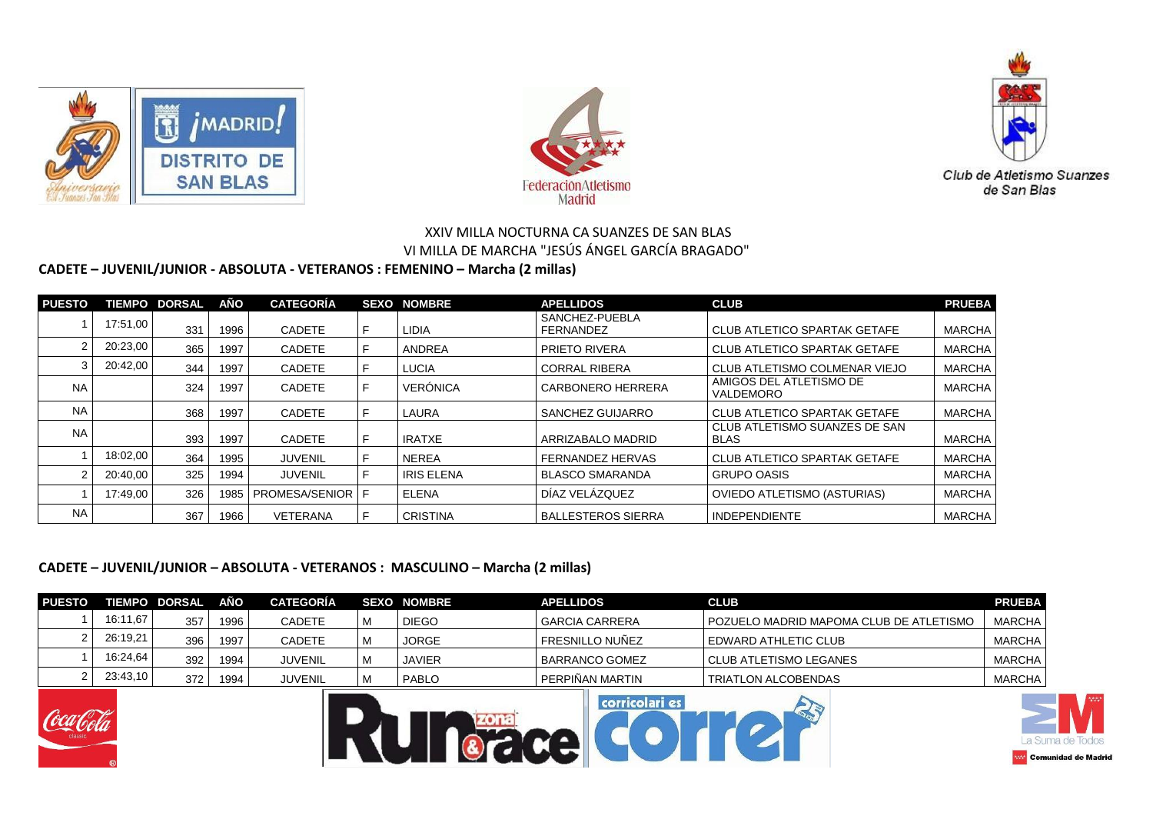





# **CADETE – JUVENIL/JUNIOR - ABSOLUTA - VETERANOS : FEMENINO – Marcha (2 millas)**

| <b>PUESTO</b> |          | <b>TIEMPO DORSAL</b> | AÑO  | <b>CATEGORÍA</b>     |   | <b>SEXO NOMBRE</b> | <b>APELLIDOS</b>            | <b>CLUB</b>                           | <b>PRUEBA</b> |
|---------------|----------|----------------------|------|----------------------|---|--------------------|-----------------------------|---------------------------------------|---------------|
|               | 17:51.00 | 331                  | 1996 | <b>CADETE</b>        |   | <b>LIDIA</b>       | SANCHEZ-PUEBLA<br>FERNANDEZ | <b>CLUB ATLETICO SPARTAK GETAFE</b>   | MARCHA        |
|               | 20:23,00 | 365                  | 1997 | <b>CADETE</b>        |   | <b>ANDREA</b>      | <b>PRIETO RIVERA</b>        | <b>CLUB ATLETICO SPARTAK GETAFE</b>   | <b>MARCHA</b> |
|               | 20:42,00 | 344                  | 1997 | <b>CADETE</b>        |   | <b>LUCIA</b>       | <b>CORRAL RIBERA</b>        | CLUB ATLETISMO COLMENAR VIEJO         | MARCHA        |
| <b>NA</b>     |          | 324                  | 1997 | <b>CADETE</b>        | F | <b>VERÓNICA</b>    | <b>CARBONERO HERRERA</b>    | AMIGOS DEL ATLETISMO DE<br>VALDEMORO  | <b>MARCHA</b> |
| <b>NA</b>     |          | 368                  | 1997 | <b>CADETE</b>        |   | LAURA              | SANCHEZ GUIJARRO            | <b>CLUB ATLETICO SPARTAK GETAFE</b>   | <b>MARCHA</b> |
| <b>NA</b>     |          | 393                  | 1997 | <b>CADETE</b>        |   | <b>IRATXE</b>      | ARRIZABALO MADRID           | CLUB ATLETISMO SUANZES DE SAN<br>BLAS | MARCHA        |
|               | 18:02,00 | 364                  | 1995 | <b>JUVENIL</b>       |   | <b>NEREA</b>       | <b>FERNANDEZ HERVAS</b>     | <b>CLUB ATLETICO SPARTAK GETAFE</b>   | <b>MARCHA</b> |
|               | 20:40.00 | 325                  | 1994 | <b>JUVENIL</b>       | F | <b>IRIS ELENA</b>  | <b>BLASCO SMARANDA</b>      | <b>GRUPO OASIS</b>                    | <b>MARCHA</b> |
|               | 17:49.00 | 326                  | 1985 | I PROMESA/SENIOR I F |   | ELENA              | DÍAZ VELÁZQUEZ              | <b>OVIEDO ATLETISMO (ASTURIAS)</b>    | <b>MARCHA</b> |
| <b>NA</b>     |          | 367                  | 1966 | <b>VETERANA</b>      |   | <b>CRISTINA</b>    | <b>BALLESTEROS SIERRA</b>   | <b>INDEPENDIENTE</b>                  | MARCHA        |

#### **CADETE – JUVENIL/JUNIOR – ABSOLUTA - VETERANOS : MASCULINO – Marcha (2 millas)**

| <b>PUESTO</b> |          | <b>TIEMPO DORSAL</b> | AÑO  | <b>CATEGORÍA</b> |   | <b>SEXO NOMBRE</b> | <b>APELLIDOS</b>                 | <b>CLUB</b>                               | <b>PRUEBA</b> |
|---------------|----------|----------------------|------|------------------|---|--------------------|----------------------------------|-------------------------------------------|---------------|
|               | 16:11.67 | 357                  | 1996 | <b>CADETE</b>    | M | <b>DIEGO</b>       | <b>GARCIA CARRERA</b>            | I POZUELO MADRID MAPOMA CLUB DE ATLETISMO | <b>MARCHA</b> |
|               | 26:19,21 | 396                  | 1997 | <b>CADETE</b>    | M | JORGE              | l FRESNILLO NUÑEZ                | I EDWARD ATHLETIC CLUB                    | <b>MARCHA</b> |
|               | 16:24,64 | 392                  | 1994 | <b>JUVENIL</b>   | M | <b>JAVIER</b>      | BARRANCO GOMEZ                   | CLUB ATLETISMO LEGANES                    | <b>MARCHA</b> |
|               | 23:43,10 | 372                  | 1994 | <b>JUVENIL</b>   | M | <b>PABLO</b>       | I PERPIÑAN MARTIN                | <b>TRIATLON ALCOBENDAS</b>                | MARCHA        |
|               |          |                      |      |                  |   |                    | <b><i><u>CONTRACTORS</u></i></b> |                                           |               |